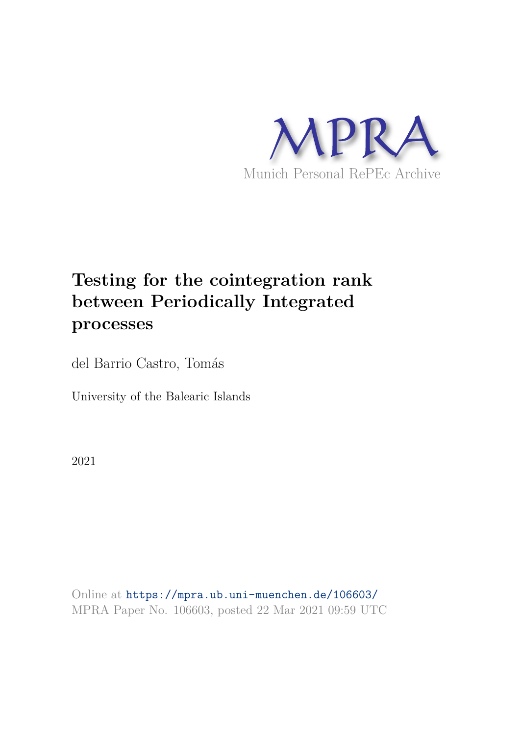

# **Testing for the cointegration rank between Periodically Integrated processes**

del Barrio Castro, Tomás

University of the Balearic Islands

2021

Online at https://mpra.ub.uni-muenchen.de/106603/ MPRA Paper No. 106603, posted 22 Mar 2021 09:59 UTC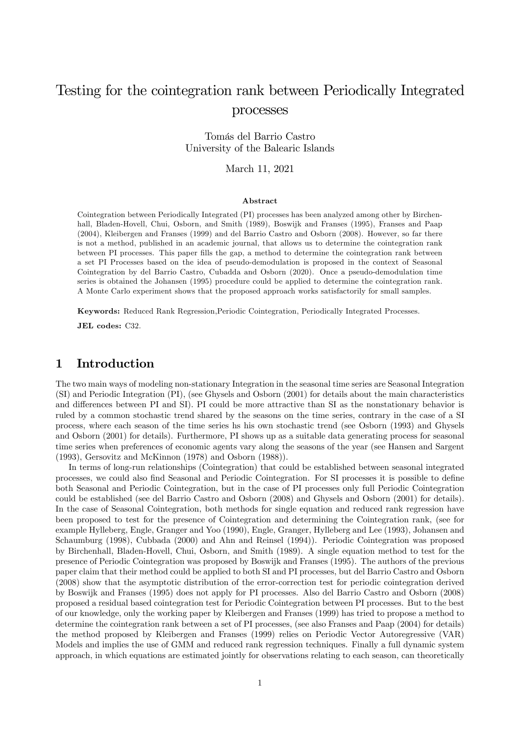## Testing for the cointegration rank between Periodically Integrated processes

Tomás del Barrio Castro University of the Balearic Islands

March 11, 2021

#### Abstract

Cointegration between Periodically Integrated (PI) processes has been analyzed among other by Birchenhall, Bladen-Hovell, Chui, Osborn, and Smith (1989), Boswijk and Franses (1995), Franses and Paap (2004), Kleibergen and Franses (1999) and del Barrio Castro and Osborn (2008). However, so far there is not a method, published in an academic journal, that allows us to determine the cointegration rank between PI processes. This paper fills the gap, a method to determine the cointegration rank between a set PI Processes based on the idea of pseudo-demodulation is proposed in the context of Seasonal Cointegration by del Barrio Castro, Cubadda and Osborn (2020). Once a pseudo-demodulation time series is obtained the Johansen (1995) procedure could be applied to determine the cointegration rank. A Monte Carlo experiment shows that the proposed approach works satisfactorily for small samples.

Keywords: Reduced Rank Regression,Periodic Cointegration, Periodically Integrated Processes.

JEL codes: C32.

## 1 Introduction

The two main ways of modeling non-stationary Integration in the seasonal time series are Seasonal Integration (SI) and Periodic Integration (PI), (see Ghysels and Osborn (2001) for details about the main characteristics and differences between PI and SI). PI could be more attractive than SI as the nonstationary behavior is ruled by a common stochastic trend shared by the seasons on the time series, contrary in the case of a SI process, where each season of the time series hs his own stochastic trend (see Osborn (1993) and Ghysels and Osborn (2001) for details). Furthermore, PI shows up as a suitable data generating process for seasonal time series when preferences of economic agents vary along the seasons of the year (see Hansen and Sargent (1993), Gersovitz and McKinnon (1978) and Osborn (1988)).

In terms of long-run relationships (Cointegration) that could be established between seasonal integrated processes, we could also find Seasonal and Periodic Cointegration. For SI processes it is possible to define both Seasonal and Periodic Cointegration, but in the case of PI processes only full Periodic Cointegration could be established (see del Barrio Castro and Osborn (2008) and Ghysels and Osborn (2001) for details). In the case of Seasonal Cointegration, both methods for single equation and reduced rank regression have been proposed to test for the presence of Cointegration and determining the Cointegration rank, (see for example Hylleberg, Engle, Granger and Yoo (1990), Engle, Granger, Hylleberg and Lee (1993), Johansen and Schaumburg (1998), Cubbada (2000) and Ahn and Reinsel (1994)). Periodic Cointegration was proposed by Birchenhall, Bladen-Hovell, Chui, Osborn, and Smith (1989). A single equation method to test for the presence of Periodic Cointegration was proposed by Boswijk and Franses (1995). The authors of the previous paper claim that their method could be applied to both SI and PI processes, but del Barrio Castro and Osborn (2008) show that the asymptotic distribution of the error-correction test for periodic cointegration derived by Boswijk and Franses (1995) does not apply for PI processes. Also del Barrio Castro and Osborn (2008) proposed a residual based cointegration test for Periodic Cointegration between PI processes. But to the best of our knowledge, only the working paper by Kleibergen and Franses (1999) has tried to propose a method to determine the cointegration rank between a set of PI processes, (see also Franses and Paap (2004) for details) the method proposed by Kleibergen and Franses (1999) relies on Periodic Vector Autoregressive (VAR) Models and implies the use of GMM and reduced rank regression techniques. Finally a full dynamic system approach, in which equations are estimated jointly for observations relating to each season, can theoretically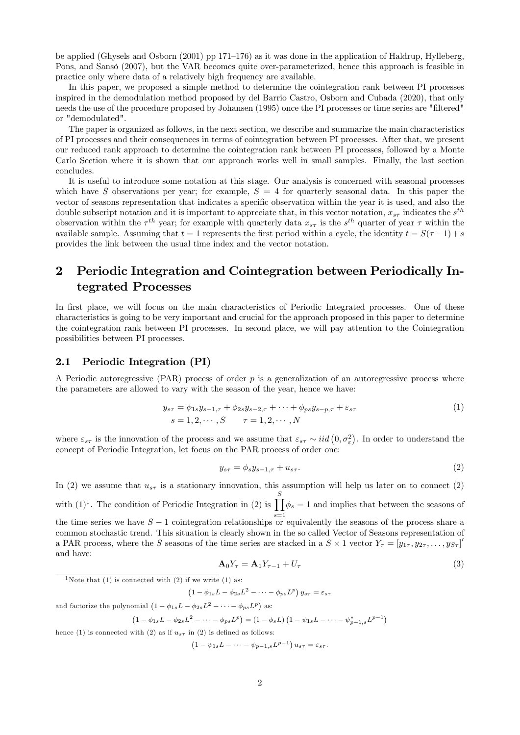be applied (Ghysels and Osborn (2001) pp 171–176) as it was done in the application of Haldrup, Hylleberg, Pons, and Sansó (2007), but the VAR becomes quite over-parameterized, hence this approach is feasible in practice only where data of a relatively high frequency are available.

In this paper, we proposed a simple method to determine the cointegration rank between PI processes inspired in the demodulation method proposed by del Barrio Castro, Osborn and Cubada (2020), that only needs the use of the procedure proposed by Johansen (1995) once the PI processes or time series are "Öltered" or "demodulated".

The paper is organized as follows, in the next section, we describe and summarize the main characteristics of PI processes and their consequences in terms of cointegration between PI processes. After that, we present our reduced rank approach to determine the cointegration rank between PI processes, followed by a Monte Carlo Section where it is shown that our approach works well in small samples. Finally, the last section concludes.

It is useful to introduce some notation at this stage. Our analysis is concerned with seasonal processes which have S observations per year; for example,  $S = 4$  for quarterly seasonal data. In this paper the vector of seasons representation that indicates a specific observation within the year it is used, and also the double subscript notation and it is important to appreciate that, in this vector notation,  $x_{s\tau}$  indicates the  $s^{th}$ observation within the  $\tau^{th}$  year; for example with quarterly data  $x_{s\tau}$  is the  $s^{th}$  quarter of year  $\tau$  within the available sample. Assuming that  $t = 1$  represents the first period within a cycle, the identity  $t = S(\tau - 1) + s$ provides the link between the usual time index and the vector notation.

## 2 Periodic Integration and Cointegration between Periodically Integrated Processes

In first place, we will focus on the main characteristics of Periodic Integrated processes. One of these characteristics is going to be very important and crucial for the approach proposed in this paper to determine the cointegration rank between PI processes. In second place, we will pay attention to the Cointegration possibilities between PI processes.

## 2.1 Periodic Integration (PI)

A Periodic autoregressive (PAR) process of order  $p$  is a generalization of an autoregressive process where the parameters are allowed to vary with the season of the year, hence we have:

$$
y_{s\tau} = \phi_{1s} y_{s-1,\tau} + \phi_{2s} y_{s-2,\tau} + \dots + \phi_{ps} y_{s-p,\tau} + \varepsilon_{s\tau}
$$
  
\n
$$
s = 1, 2, \dots, S \qquad \tau = 1, 2, \dots, N
$$
\n(1)

where  $\varepsilon_{s\tau}$  is the innovation of the process and we assume that  $\varepsilon_{s\tau} \sim \textit{iid}(0, \sigma_{\varepsilon}^2)$ . In order to understand the concept of Periodic Integration, let focus on the PAR process of order one:

$$
y_{s\tau} = \phi_s y_{s-1,\tau} + u_{s\tau}.\tag{2}
$$

In (2) we assume that  $u_{s\tau}$  is a stationary innovation, this assumption will help us later on to connect (2) with  $(1)^{1}$ . The condition of Periodic Integration in  $(2)$  is  $\prod_{n=1}^{S}$ the time series we have  $S-1$  cointegration relationships or equivalently the seasons of the process share a  $\phi_s = 1$  and implies that between the seasons of common stochastic trend. This situation is clearly shown in the so called Vector of Seasons representation of a PAR process, where the S seasons of the time series are stacked in a  $S \times 1$  vector  $Y_{\tau} = [y_{1\tau}, y_{2\tau}, \dots, y_{S\tau}]'$ and have:

$$
\mathbf{A}_0 Y_\tau = \mathbf{A}_1 Y_{\tau-1} + U_\tau \tag{3}
$$

```
<sup>1</sup>Note that (1) is connected with (2) if we write (1) as:
```

$$
1 - \phi_{1s}L - \phi_{2s}L^2 - \cdots - \phi_{ps}L^p) y_{s\tau} = \varepsilon_{s\tau}
$$

and factorize the polynomial  $(1 - \phi_{1s}L - \phi_{2s}L^2 - \cdots - \phi_{ps}L^p)$  as:

 $\overline{(\ }$ 

$$
(1 - \phi_{1s}L - \phi_{2s}L^2 - \dots - \phi_{ps}L^p) = (1 - \phi_sL)(1 - \psi_{1s}L - \dots - \psi_{p-1,s}^*L^{p-1})
$$

hence (1) is connected with (2) as if  $u_{s\tau}$  in (2) is defined as follows:

 $(1 - \psi_{1s}L - \cdots - \psi_{p-1,s}L^{p-1}) u_{s\tau} = \varepsilon_{s\tau}.$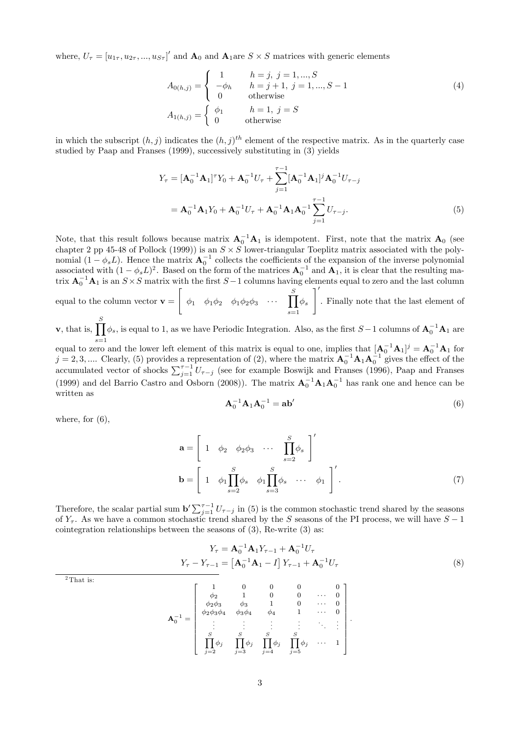where,  $U_{\tau} = [u_{1\tau}, u_{2\tau}, ..., u_{S\tau}]'$  and  $\mathbf{A}_0$  and  $\mathbf{A}_1$  are  $S \times S$  matrices with generic elements

$$
A_{0(h,j)} = \begin{cases} 1 & h = j, j = 1, ..., S \\ -\phi_h & h = j + 1, j = 1, ..., S - 1 \\ 0 & \text{otherwise} \end{cases}
$$
(4)  

$$
A_{1(h,j)} = \begin{cases} \phi_1 & h = 1, j = S \\ 0 & \text{otherwise} \end{cases}
$$

in which the subscript  $(h, j)$  indicates the  $(h, j)$ <sup>th</sup> element of the respective matrix. As in the quarterly case studied by Paap and Franses (1999), successively substituting in (3) yields

$$
Y_{\tau} = [\mathbf{A}_0^{-1} \mathbf{A}_1]^{\tau} Y_0 + \mathbf{A}_0^{-1} U_{\tau} + \sum_{j=1}^{\tau-1} [\mathbf{A}_0^{-1} \mathbf{A}_1]^j \mathbf{A}_0^{-1} U_{\tau-j}
$$
  
=  $\mathbf{A}_0^{-1} \mathbf{A}_1 Y_0 + \mathbf{A}_0^{-1} U_{\tau} + \mathbf{A}_0^{-1} \mathbf{A}_1 \mathbf{A}_0^{-1} \sum_{j=1}^{\tau-1} U_{\tau-j}.$  (5)

Note, that this result follows because matrix  $A_0^{-1}A_1$  is idempotent. First, note that the matrix  $A_0$  (see chapter 2 pp 45-48 of Pollock (1999)) is an  $S \times S$  lower-triangular Toeplitz matrix associated with the polynomial  $(1 - \phi_s L)$ . Hence the matrix  $\mathbf{A}_0^{-1}$  collects the coefficients of the expansion of the inverse polynomial associated with  $(1 - \phi_s L)^2$ . Based on the form of the matrices  $\mathbf{A}_0^{-1}$  and  $\mathbf{A}_1$ , it is clear that the resulting matrix  $A_0^{-1}A_1$  is an  $S \times S$  matrix with the first  $S-1$  columns having elements equal to zero and the last column

equal to the column vector  $\mathbf{v} =$  $\left[\begin{array}{cccccc} \phi_1 & \phi_1\phi_2 & \phi_1\phi_2\phi_3 & \cdots & \prod \end{array}\right]$  $s=1$  $\phi_s$  $\overline{\phantom{a}}$ . Finally note that the last element of

**v**, that is,  $\prod_{i=1}^{S} \phi_s$ , is equal to 1, as we have Periodic Integration. Also, as the first  $S-1$  columns of  $A_0^{-1}A_1$  are

equal to zero and the lower left element of this matrix is equal to one, implies that  $[\mathbf{A}_0^{-1}\mathbf{A}_1]^j = \mathbf{A}_0^{-1}\mathbf{A}_1$  for  $j = 2, 3, \dots$  Clearly, (5) provides a representation of (2), where the matrix  $A_0^{-1}A_1A_0^{-1}$  gives the effect of the  $J = 2, 3, ...$  Clearly, (3) provides a tepresentation of (2), where the matrix  $A_0$   $A_1A_0$  gives the enect of the accumulated vector of shocks  $\sum_{j=1}^{\tau-1} U_{\tau-j}$  (see for example Boswijk and Franses (1996), Paap and Fr (1999) and del Barrio Castro and Osborn (2008)). The matrix  $A_0^{-1}A_1A_0^{-1}$  has rank one and hence can be written as

$$
\mathbf{A}_0^{-1}\mathbf{A}_1\mathbf{A}_0^{-1} = \mathbf{a}\mathbf{b}'\tag{6}
$$

where, for  $(6)$ ,

$$
\mathbf{a} = \begin{bmatrix} 1 & \phi_2 & \phi_2 \phi_3 & \cdots & \prod_{s=2}^S \phi_s \end{bmatrix}'_s
$$

$$
\mathbf{b} = \begin{bmatrix} 1 & \phi_1 \prod_{s=2}^S \phi_s & \phi_1 \prod_{s=3}^S \phi_s & \cdots & \phi_1 \end{bmatrix}'.
$$
(7)

Therefore, the scalar partial sum  $\mathbf{b}' \sum_{j=1}^{\tau-1} U_{\tau-j}$  in (5) is the common stochastic trend shared by the seasons of  $Y_{\tau}$ . As we have a common stochastic trend shared by the S seasons of the PI process, we will have  $S - 1$ cointegration relationships between the seasons of  $(3)$ , Re-write  $(3)$  as:

$$
Y_{\tau} = \mathbf{A}_0^{-1} \mathbf{A}_1 Y_{\tau-1} + \mathbf{A}_0^{-1} U_{\tau}
$$
  
\n
$$
Y_{\tau} - Y_{\tau-1} = \left[ \mathbf{A}_0^{-1} \mathbf{A}_1 - I \right] Y_{\tau-1} + \mathbf{A}_0^{-1} U_{\tau}
$$
 (8)

<sup>2</sup>That is:

$$
\mathbf{A}_{0}^{-1} = \begin{bmatrix} 1 & 0 & 0 & 0 & 0 & 0 \\ \phi_{2} & 1 & 0 & 0 & \cdots & 0 \\ \phi_{2}\phi_{3} & \phi_{3} & 1 & 0 & \cdots & 0 \\ \phi_{2}\phi_{3}\phi_{4} & \phi_{3}\phi_{4} & \phi_{4} & 1 & \cdots & 0 \\ \vdots & \vdots & \vdots & \vdots & \ddots & \vdots \\ \prod_{j=2}^{S} \phi_{j} & \prod_{j=3}^{S} \phi_{j} & \prod_{j=4}^{S} \phi_{j} & \prod_{j=5}^{S} \phi_{j} & \cdots & 1 \end{bmatrix}.
$$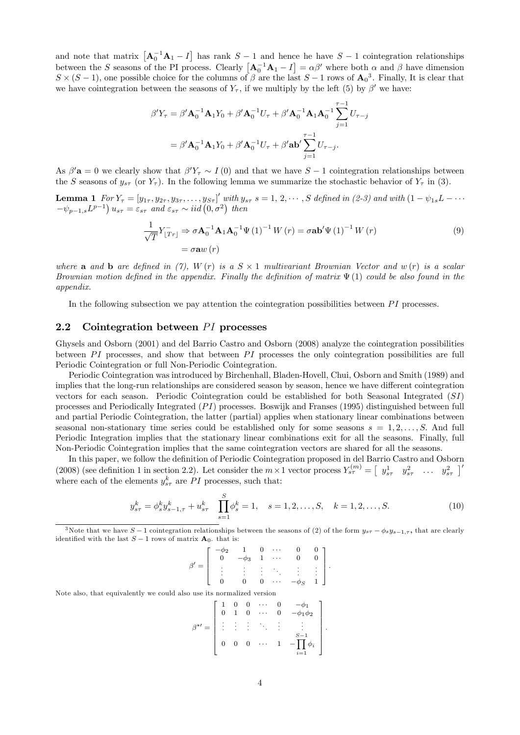and note that matrix  $\left[\mathbf{A}_0^{-1}\mathbf{A}_1 - I\right]$  has rank  $S - 1$  and hence he have  $S - 1$  cointegration relationships between the S seasons of the PI process. Clearly  $\left[\mathbf{A}_0^{-1}\mathbf{A}_1 - I\right] = \alpha \beta'$  where both  $\alpha$  and  $\beta$  have dimension  $S \times (S-1)$ , one possible choice for the columns of  $\beta$  are the last  $S-1$  rows of  $\mathbf{A_0}^3$ . Finally, It is clear that we have cointegration between the seasons of  $Y_{\tau}$ , if we multiply by the left (5) by  $\beta'$  we have:

$$
\beta' Y_{\tau} = \beta' \mathbf{A}_0^{-1} \mathbf{A}_1 Y_0 + \beta' \mathbf{A}_0^{-1} U_{\tau} + \beta' \mathbf{A}_0^{-1} \mathbf{A}_1 \mathbf{A}_0^{-1} \sum_{j=1}^{\tau-1} U_{\tau-j}
$$

$$
= \beta' \mathbf{A}_0^{-1} \mathbf{A}_1 Y_0 + \beta' \mathbf{A}_0^{-1} U_{\tau} + \beta' \mathbf{a} \mathbf{b}' \sum_{j=1}^{\tau-1} U_{\tau-j}.
$$

As  $\beta'$ **a** = 0 we clearly show that  $\beta' Y_\tau \sim I(0)$  and that we have  $S-1$  cointegration relationships between the S seasons of  $y_{s\tau}$  (or  $Y_{\tau}$ ). In the following lemma we summarize the stochastic behavior of  $Y_{\tau}$  in (3).

**Lemma 1**  $For Y_{\tau} = [y_{1\tau}, y_{2\tau}, y_{3\tau}, \dots, y_{S\tau}]'$  with  $y_{s\tau}$   $s = 1, 2, \dots, S$  defined in (2-3) and with  $(1 - \psi_{1s}L - \dots)$  $-\psi_{p-1,s}L^{p-1}\big)u_{s\tau} = \varepsilon_{s\tau}$  and  $\varepsilon_{s\tau} \sim \text{i}id\left(0,\sigma^2\right)$  then

$$
\frac{1}{\sqrt{T}} Y_{[Tr]}^{-} \Rightarrow \sigma \mathbf{A}_{0}^{-1} \mathbf{A}_{1} \mathbf{A}_{0}^{-1} \Psi (1)^{-1} W (r) = \sigma \mathbf{a} \mathbf{b}^{\prime} \Psi (1)^{-1} W (r)
$$
\n
$$
= \sigma \mathbf{a} w (r) \tag{9}
$$

where **a** and **b** are defined in (7),  $W(r)$  is a  $S \times 1$  multivariant Brownian Vector and  $w(r)$  is a scalar Brownian motion defined in the appendix. Finally the definition of matrix  $\Psi(1)$  could be also found in the appendix.

In the following subsection we pay attention the cointegration possibilities between  $PI$  processes.

#### 2.2 Cointegration between  $PI$  processes

Ghysels and Osborn (2001) and del Barrio Castro and Osborn (2008) analyze the cointegration possibilities between  $PI$  processes, and show that between  $PI$  processes the only cointegration possibilities are full Periodic Cointegration or full Non-Periodic Cointegration.

Periodic Cointegration was introduced by Birchenhall, Bladen-Hovell, Chui, Osborn and Smith (1989) and implies that the long-run relationships are considered season by season, hence we have different cointegration vectors for each season. Periodic Cointegration could be established for both Seasonal Integrated (SI) processes and Periodically Integrated  $(PI)$  processes. Boswijk and Franses (1995) distinguished between full and partial Periodic Cointegration, the latter (partial) applies when stationary linear combinations between seasonal non-stationary time series could be established only for some seasons  $s = 1, 2, \ldots, S$ . And full Periodic Integration implies that the stationary linear combinations exit for all the seasons. Finally, full Non-Periodic Cointegration implies that the same cointegration vectors are shared for all the seasons.

In this paper, we follow the definition of Periodic Cointegration proposed in del Barrio Castro and Osborn (2008) (see definition 1 in section 2.2). Let consider the  $m \times 1$  vector process  $Y_{s\tau}^{(m)} = \begin{bmatrix} y_{s\tau}^1 & y_{s\tau}^2 & \dots & y_{s\tau}^2 \end{bmatrix}^T$ where each of the elements  $y_{s\tau}^k$  are PI processes, such that:

$$
y_{s\tau}^k = \phi_s^k y_{s-1,\tau}^k + u_{s\tau}^k \quad \prod_{s=1}^S \phi_s^k = 1, \quad s = 1, 2, \dots, S, \quad k = 1, 2, \dots, S.
$$
 (10)

<sup>3</sup>Note that we have  $S-1$  cointegration relationships between the seasons of (2) of the form  $y_{s\tau} - \phi_s y_{s-1,\tau}$ , that are clearly identified with the last  $S - 1$  rows of matrix  $A_0$ , that is:

$$
\beta' = \left[ \begin{array}{ccccc} -\phi_2 & 1 & 0 & \cdots & 0 & 0 \\ 0 & -\phi_3 & 1 & \cdots & 0 & 0 \\ \vdots & \vdots & \vdots & \ddots & \vdots & \vdots \\ 0 & 0 & 0 & \cdots & -\phi_S & 1 \end{array} \right].
$$

Note also, that equivalently we could also use its normalized version

$$
\beta^{*'} = \left[\begin{array}{ccccc} 1 & 0 & 0 & \cdots & 0 & -\phi_1 \\ 0 & 1 & 0 & \cdots & 0 & -\phi_1\phi_2 \\ \vdots & \vdots & \vdots & \ddots & \vdots & \vdots \\ 0 & 0 & 0 & \cdots & 1 & -\prod_{i=1}^{S-1} \phi_i \end{array}\right].
$$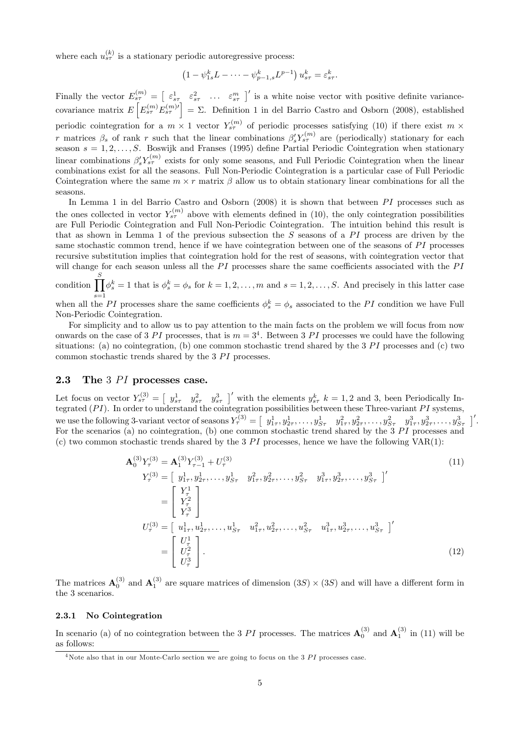where each  $u_{s\tau}^{(k)}$  is a stationary periodic autoregressive process:

$$
\left(1-\psi_{1s}^k L-\cdots-\psi_{p-1,s}^k L^{p-1}\right)u_{s\tau}^k=\varepsilon_{s\tau}^k.
$$

Finally the vector  $E_{s\tau}^{(m)} = \begin{bmatrix} \varepsilon_{s\tau}^1 & \varepsilon_{s\tau}^2 & \dots & \varepsilon_{s\tau}^m \end{bmatrix}$  is a white noise vector with positive definite variancecovariance matrix  $E\left[E_{s\tau}^{(m)}E_{s\tau}^{(m)\prime}\right]=\Sigma$ . Definition 1 in del Barrio Castro and Osborn (2008), established periodic cointegration for a  $m \times 1$  vector  $Y_{s\tau}^{(m)}$  of periodic processes satisfying (10) if there exist  $m \times$ r matrices  $\beta_s$  of rank r such that the linear combinations  $\beta'_s Y_{s\tau}^{(m)}$  are (periodically) stationary for each season  $s = 1, 2, \ldots, S$ . Boswijk and Franses (1995) define Partial Periodic Cointegration when stationary linear combinations  $\beta'_s Y_{s\tau}^{(m)}$  exists for only some seasons, and Full Periodic Cointegration when the linear combinations exist for all the seasons. Full Non-Periodic Cointegration is a particular case of Full Periodic Cointegration where the same  $m \times r$  matrix  $\beta$  allow us to obtain stationary linear combinations for all the seasons.

In Lemma 1 in del Barrio Castro and Osborn  $(2008)$  it is shown that between PI processes such as the ones collected in vector  $Y_{s\tau}^{(m)}$  above with elements defined in (10), the only cointegration possibilities are Full Periodic Cointegration and Full Non-Periodic Cointegration. The intuition behind this result is that as shown in Lemma 1 of the previous subsection the  $S$  seasons of a  $PI$  process are driven by the same stochastic common trend, hence if we have cointegration between one of the seasons of  $PI$  processes recursive substitution implies that cointegration hold for the rest of seasons, with cointegration vector that will change for each season unless all the  $PI$  processes share the same coefficients associated with the  $PI$ 

condition  $\prod^S$  $s=1$  $\phi_s^k = 1$  that is  $\phi_s^k = \phi_s$  for  $k = 1, 2, ..., m$  and  $s = 1, 2, ..., S$ . And precisely in this latter case

when all the PI processes share the same coefficients  $\phi_s^k = \phi_s$  associated to the PI condition we have Full Non-Periodic Cointegration.

For simplicity and to allow us to pay attention to the main facts on the problem we will focus from now onwards on the case of 3 PI processes, that is  $m = 3<sup>4</sup>$ . Between 3 PI processes we could have the following situations: (a) no cointegration, (b) one common stochastic trend shared by the  $3PI$  processes and (c) two common stochastic trends shared by the  $3$   $PI$  processes.

#### 2.3 The  $3$   $PI$  processes case.

Let focus on vector  $Y_{s\tau}^{(3)} = \begin{bmatrix} y_{s\tau}^1 & y_{s\tau}^2 & y_{s\tau}^3 \end{bmatrix}$  with the elements  $y_{s\tau}^k k = 1, 2$  and 3, been Periodically Integrated  $(PI)$ . In order to understand the cointegration possibilities between these Three-variant  $PI$  systems, we use the following 3-variant vector of seasons  $Y_{\tau}^{(3)} = \begin{bmatrix} y_{1\tau}^1, y_{2\tau}^1, \ldots, y_{S\tau}^1 & y_{1\tau}^2, y_{2\tau}^2, \ldots, y_{S\tau}^2 & y_{1\tau}^3, y_{2\tau}^3, \ldots, y_{S\tau}^3 \end{bmatrix}'$ . For the scenarios (a) no cointegration, (b) one common stochastic trend shared by the  $3PI$  processes and (c) two common stochastic trends shared by the 3  $PI$  processes, hence we have the following VAR(1):

$$
\mathbf{A}_{0}^{(3)}Y_{\tau}^{(3)} = \mathbf{A}_{1}^{(3)}Y_{\tau-1}^{(3)} + U_{\tau}^{(3)}
$$
\n
$$
Y_{\tau}^{(3)} = \begin{bmatrix} y_{1\tau}^{1}, y_{2\tau}^{1}, \dots, y_{S\tau}^{1} & y_{1\tau}^{2}, y_{2\tau}^{2}, \dots, y_{S\tau}^{2} & y_{1\tau}^{3}, y_{2\tau}^{3}, \dots, y_{S\tau}^{3} \end{bmatrix}'
$$
\n
$$
= \begin{bmatrix} Y_{\tau}^{1} \\ Y_{\tau}^{2} \\ Y_{\tau}^{3} \end{bmatrix}
$$
\n
$$
U_{\tau}^{(3)} = \begin{bmatrix} u_{1\tau}^{1}, u_{2\tau}^{1}, \dots, u_{S\tau}^{1} & u_{1\tau}^{2}, u_{2\tau}^{2}, \dots, u_{S\tau}^{2} & u_{1\tau}^{3}, u_{2\tau}^{3}, \dots, u_{S\tau}^{3} \end{bmatrix}'
$$
\n
$$
= \begin{bmatrix} U_{\tau}^{1} \\ U_{\tau}^{2} \\ U_{\tau}^{3} \end{bmatrix}.
$$
\n(12)

The matrices  $\mathbf{A}_0^{(3)}$  and  $\mathbf{A}_1^{(3)}$  are square matrices of dimension  $(3S) \times (3S)$  and will have a different form in the 3 scenarios.

#### 2.3.1 No Cointegration

In scenario (a) of no cointegration between the 3 PI processes. The matrices  $\mathbf{A}_0^{(3)}$  and  $\mathbf{A}_1^{(3)}$  in (11) will be as follows:

 $4$ Note also that in our Monte-Carlo section we are going to focus on the  $3$  PI processes case.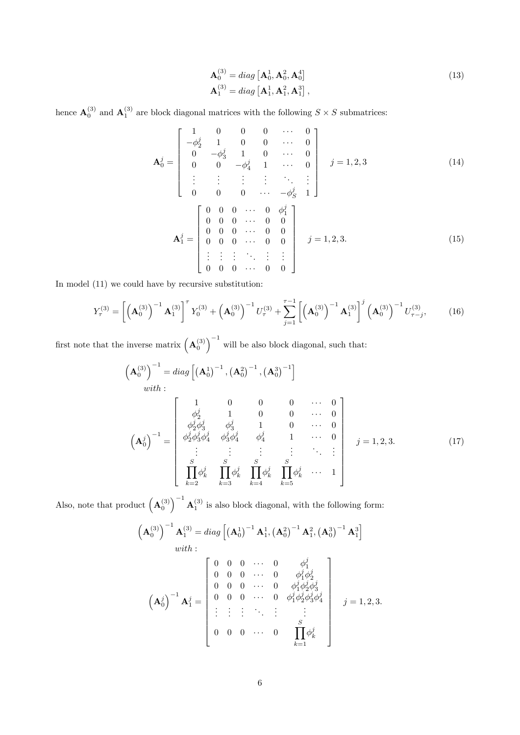$$
\mathbf{A}_0^{(3)} = diag\left[\mathbf{A}_0^1, \mathbf{A}_0^2, \mathbf{A}_0^4\right] \n\mathbf{A}_1^{(3)} = diag\left[\mathbf{A}_1^1, \mathbf{A}_1^2, \mathbf{A}_1^3\right],
$$
\n(13)

hence  $\mathbf{A}_0^{(3)}$  and  $\mathbf{A}_1^{(3)}$  are block diagonal matrices with the following  $S \times S$  submatrices:

$$
\mathbf{A}_{0}^{j} = \begin{bmatrix} 1 & 0 & 0 & 0 & \cdots & 0 \\ -\phi_{2}^{j} & 1 & 0 & 0 & \cdots & 0 \\ 0 & -\phi_{3}^{j} & 1 & 0 & \cdots & 0 \\ 0 & 0 & -\phi_{4}^{j} & 1 & \cdots & 0 \\ \vdots & \vdots & \vdots & \vdots & \ddots & \vdots \\ 0 & 0 & 0 & \cdots & -\phi_{S}^{j} & 1 \end{bmatrix} j = 1, 2, 3
$$
(14)  

$$
\mathbf{A}_{1}^{j} = \begin{bmatrix} 0 & 0 & 0 & \cdots & 0 & \phi_{1}^{j} \\ 0 & 0 & 0 & \cdots & 0 & 0 \\ 0 & 0 & 0 & \cdots & 0 & 0 \\ 0 & 0 & 0 & \cdots & 0 & 0 \\ \vdots & \vdots & \vdots & \ddots & \vdots & \vdots \\ 0 & 0 & 0 & \cdots & 0 & 0 \end{bmatrix} j = 1, 2, 3.
$$
(15)

In model (11) we could have by recursive substitution:

$$
Y_{\tau}^{(3)} = \left[ \left( \mathbf{A}_0^{(3)} \right)^{-1} \mathbf{A}_1^{(3)} \right]^{\tau} Y_0^{(3)} + \left( \mathbf{A}_0^{(3)} \right)^{-1} U_{\tau}^{(3)} + \sum_{j=1}^{\tau-1} \left[ \left( \mathbf{A}_0^{(3)} \right)^{-1} \mathbf{A}_1^{(3)} \right]^j \left( \mathbf{A}_0^{(3)} \right)^{-1} U_{\tau-j}^{(3)}, \tag{16}
$$

first note that the inverse matrix  $(\mathbf{A}_0^{(3)})^{-1}$  will be also block diagonal, such that:

$$
\left(\mathbf{A}_{0}^{(3)}\right)^{-1} = diag\left[\left(\mathbf{A}_{0}^{1}\right)^{-1}, \left(\mathbf{A}_{0}^{2}\right)^{-1}, \left(\mathbf{A}_{0}^{3}\right)^{-1}\right]
$$
\n*with*:  
\n
$$
\left(\mathbf{A}_{0}^{j}\right)^{-1} = \begin{bmatrix}\n1 & 0 & 0 & 0 & \cdots & 0 \\
\phi_{2}^{j} & 1 & 0 & 0 & \cdots & 0 \\
\phi_{2}^{j}\phi_{3}^{j} & \phi_{3}^{j} & 1 & 0 & \cdots & 0 \\
\phi_{2}^{j}\phi_{3}^{j}\phi_{4}^{j} & \phi_{3}^{j}\phi_{4}^{j} & \phi_{4}^{j} & 1 & \cdots & 0 \\
\vdots & \vdots & \vdots & \vdots & \ddots & \vdots \\
\vdots & \vdots & \vdots & \vdots & \ddots & \vdots \\
\frac{S}{\prod_{k=2}^{S}}\phi_{k}^{j} & \prod_{k=3}^{S}\phi_{k}^{j} & \prod_{k=4}^{S}\phi_{k}^{j} & \cdots & 1\n\end{bmatrix} j = 1, 2, 3.
$$
\n(17)

Also, note that product  $(\mathbf{A}_0^{(3)})^{-1} \mathbf{A}_1^{(3)}$  is also block diagonal, with the following form:

$$
\left(\mathbf{A}_{0}^{(3)}\right)^{-1}\mathbf{A}_{1}^{(3)} = diag\left[\left(\mathbf{A}_{0}^{1}\right)^{-1}\mathbf{A}_{1}^{1}, \left(\mathbf{A}_{0}^{2}\right)^{-1}\mathbf{A}_{1}^{2}, \left(\mathbf{A}_{0}^{3}\right)^{-1}\mathbf{A}_{1}^{3}\right]
$$
\nwith:  
\n
$$
\begin{bmatrix}\n0 & 0 & 0 & \cdots & 0 & \phi_{1}^{j} \\
0 & 0 & 0 & \cdots & 0 & \phi_{1}^{j}\phi_{2}^{j} \\
0 & 0 & 0 & \cdots & 0 & \phi_{1}^{j}\phi_{2}^{j}\phi_{3}^{j} \\
0 & 0 & 0 & \cdots & 0 & \phi_{1}^{j}\phi_{2}^{j}\phi_{3}^{j} \\
\vdots & \vdots & \vdots & \ddots & \vdots & \vdots \\
0 & 0 & 0 & \cdots & 0 & \prod_{k=1}^{S}\phi_{k}^{j}\n\end{bmatrix} j = 1, 2, 3.
$$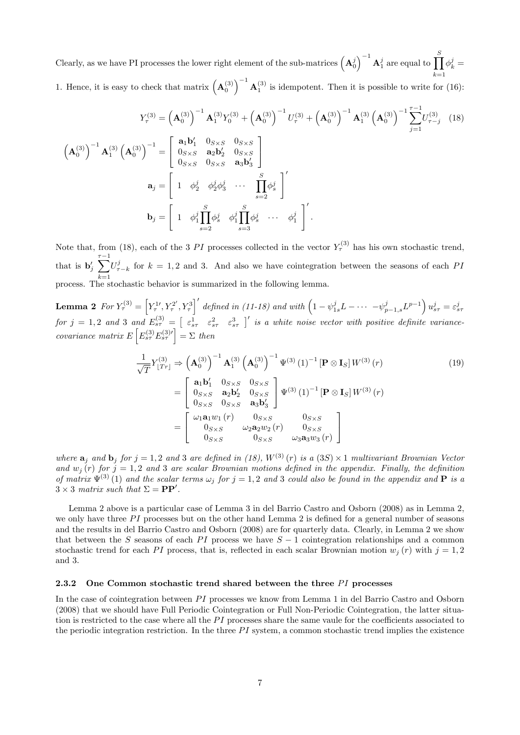Clearly, as we have PI processes the lower right element of the sub-matrices  $(\mathbf{A}_0^j)^{-1} \mathbf{A}_1^j$  are equal to  $\prod^S$  $k=1$  $\phi_k^j =$ 1. Hence, it is easy to check that matrix  $({\bf A}_0^{(3)})^{-1} {\bf A}_1^{(3)}$  is idempotent. Then it is possible to write for (16):

$$
Y_{\tau}^{(3)} = \left(\mathbf{A}_{0}^{(3)}\right)^{-1} \mathbf{A}_{1}^{(3)} Y_{0}^{(3)} + \left(\mathbf{A}_{0}^{(3)}\right)^{-1} U_{\tau}^{(3)} + \left(\mathbf{A}_{0}^{(3)}\right)^{-1} \mathbf{A}_{1}^{(3)} \left(\mathbf{A}_{0}^{(3)}\right)^{-1} \sum_{j=1}^{\tau-1} U_{\tau-j}^{(3)} \tag{18}
$$
\n
$$
\left(\mathbf{A}_{0}^{(3)}\right)^{-1} \mathbf{A}_{1}^{(3)} \left(\mathbf{A}_{0}^{(3)}\right)^{-1} = \begin{bmatrix} \mathbf{a}_{1} \mathbf{b}_{1}^{T} & 0_{S \times S} & 0_{S \times S} \\ 0_{S \times S} & \mathbf{a}_{2} \mathbf{b}_{2}^{T} & 0_{S \times S} \\ 0_{S \times S} & 0_{S \times S} & \mathbf{a}_{3} \mathbf{b}_{3}^{T} \end{bmatrix}^{T}
$$
\n
$$
\mathbf{a}_{j} = \begin{bmatrix} 1 & \phi_{2}^{j} & \phi_{2}^{j} \phi_{3}^{j} & \cdots & \prod_{s=2}^{S} \phi_{s}^{j} \\ 1 & \phi_{1}^{j} \prod_{s=2}^{S} \phi_{s}^{j} & \phi_{1}^{j} \prod_{s=3}^{S} \phi_{s}^{j} & \cdots & \phi_{1}^{j} \end{bmatrix}^{T}
$$

Note that, from (18), each of the 3 PI processes collected in the vector  $Y_{\tau}^{(3)}$  has his own stochastic trend, that is  $\mathbf{b}'_j \sum_{ }^{\tau-1}$  $k=1$  $U_{\tau-k}^j$  for  $k = 1, 2$  and 3. And also we have cointegration between the seasons of each PI process. The stochastic behavior is summarized in the following lemma.

**Lemma 2** For  $Y^{(3)}_{\tau} = \left[ Y^{1\prime}_{\tau}, Y^{2\prime}_{\tau} \right]$  $\left( \begin{matrix} \mathcal{L}^2 \end{matrix}^T, Y_\tau^3 \right)'$  defined in (11-18) and with  $\left( 1 - \psi_{1s}^j L - \cdots - \psi_{p-1,s}^j L^{p-1} \right) u_{s\tau}^j = \varepsilon_{s\tau}^j$ for  $j = 1, 2$  and 3 and  $E_{s\tau}^{(3)} = \begin{bmatrix} \varepsilon_{s\tau}^1 & \varepsilon_{s\tau}^2 & \varepsilon_{s\tau}^3 \end{bmatrix}$  is a white noise vector with positive definite variancecovariance matrix  $E\left[E_{s\tau}^{(3)}E_{s\tau}^{(3)\prime}\right]=\Sigma$  then

$$
\frac{1}{\sqrt{T}} Y_{[Tr]}^{(3)} \Rightarrow \left( \mathbf{A}_0^{(3)} \right)^{-1} \mathbf{A}_1^{(3)} \left( \mathbf{A}_0^{(3)} \right)^{-1} \Psi^{(3)} (1)^{-1} \left[ \mathbf{P} \otimes \mathbf{I}_S \right] W^{(3)} (r) \n= \begin{bmatrix}\n\mathbf{a}_1 \mathbf{b}_1' & 0_{S \times S} & 0_{S \times S} \\
0_{S \times S} & \mathbf{a}_2 \mathbf{b}_2' & 0_{S \times S} \\
0_{S \times S} & 0_{S \times S} & \mathbf{a}_3 \mathbf{b}_3'\n\end{bmatrix} \Psi^{(3)} (1)^{-1} \left[ \mathbf{P} \otimes \mathbf{I}_S \right] W^{(3)} (r) \n= \begin{bmatrix}\n\omega_1 \mathbf{a}_1 w_1 (r) & 0_{S \times S} & 0_{S \times S} \\
0_{S \times S} & \omega_2 \mathbf{a}_2 w_2 (r) & 0_{S \times S} \\
0_{S \times S} & 0_{S \times S} & \omega_3 \mathbf{a}_3 w_3 (r)\n\end{bmatrix}
$$
\n(19)

where  $\mathbf{a}_j$  and  $\mathbf{b}_j$  for  $j = 1, 2$  and 3 are defined in (18),  $W^{(3)}(r)$  is a (3S)  $\times$  1 multivariant Brownian Vector and  $w_j(r)$  for  $j = 1, 2$  and 3 are scalar Brownian motions defined in the appendix. Finally, the definition of matrix  $\Psi^{(3)}(1)$  and the scalar terms  $\omega_j$  for  $j = 1, 2$  and 3 could also be found in the appendix and **P** is a  $3 \times 3$  matrix such that  $\Sigma = PP'$ .

Lemma 2 above is a particular case of Lemma 3 in del Barrio Castro and Osborn (2008) as in Lemma 2, we only have three  $PI$  processes but on the other hand Lemma 2 is defined for a general number of seasons and the results in del Barrio Castro and Osborn (2008) are for quarterly data. Clearly, in Lemma 2 we show that between the S seasons of each PI process we have  $S - 1$  cointegration relationships and a common stochastic trend for each PI process, that is, reflected in each scalar Brownian motion  $w_i(r)$  with  $j = 1, 2$ and 3.

#### 2.3.2 One Common stochastic trend shared between the three  $PI$  processes

In the case of cointegration between  $PI$  processes we know from Lemma 1 in del Barrio Castro and Osborn (2008) that we should have Full Periodic Cointegration or Full Non-Periodic Cointegration, the latter situation is restricted to the case where all the  $PI$  processes share the same vaule for the coefficients associated to the periodic integration restriction. In the three  $PI$  system, a common stochastic trend implies the existence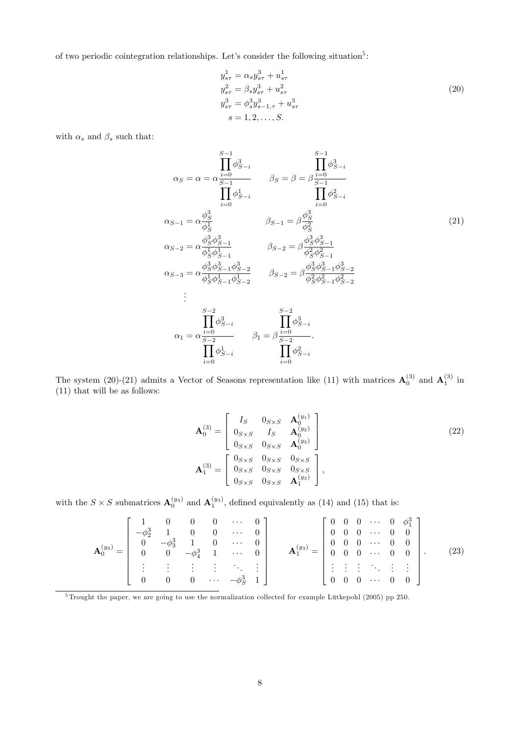of two periodic cointegration relationships. Let's consider the following situation<sup>5</sup>:

$$
y_{s\tau}^{1} = \alpha_{s} y_{s\tau}^{3} + u_{s\tau}^{1}
$$
  
\n
$$
y_{s\tau}^{2} = \beta_{s} y_{s\tau}^{3} + u_{s\tau}^{2}
$$
  
\n
$$
y_{s\tau}^{3} = \phi_{s}^{3} y_{s-1,\tau}^{3} + u_{s\tau}^{3}
$$
  
\n
$$
s = 1, 2, ..., S.
$$
  
\n(20)

with  $\alpha_s$  and  $\beta_s$  such that:

$$
\alpha_{S} = \alpha = \alpha \frac{\prod_{i=0}^{S-1} \phi_{S-i}^{3}}{\prod_{i=0}^{S-1} \phi_{S-i}^{1}} \qquad \beta_{S} = \beta = \beta \frac{\prod_{i=0}^{S-1} \phi_{S-i}^{3}}{\prod_{i=0}^{S-1} \phi_{S-i}^{2}}
$$
\n
$$
\alpha_{S-1} = \alpha \frac{\phi_{S}^{3}}{\phi_{S}^{1}} \qquad \beta_{S-1} = \beta \frac{\phi_{S}^{3}}{\phi_{S}^{2}}
$$
\n
$$
\alpha_{S-2} = \alpha \frac{\phi_{S}^{3} \phi_{S-1}^{3}}{\phi_{S}^{1} \phi_{S-1}^{1}} \qquad \beta_{S-2} = \beta \frac{\phi_{S}^{3} \phi_{S-1}^{3}}{\phi_{S}^{2} \phi_{S-1}^{2}}
$$
\n
$$
\alpha_{S-3} = \alpha \frac{\phi_{S}^{3} \phi_{S-1}^{3} \phi_{S-2}^{3}}{\phi_{S}^{1} \phi_{S-1}^{1} \phi_{S-2}^{1}} \qquad \beta_{S-2} = \beta \frac{\phi_{S}^{3} \phi_{S-1}^{3} \phi_{S-2}^{3}}{\phi_{S}^{2} \phi_{S-1}^{2} \phi_{S-2}^{2}}
$$
\n
$$
\vdots
$$
\n
$$
\alpha_{S-3} = \alpha \frac{\prod_{j=0}^{S-2} \phi_{S-i}^{3}}{\phi_{S-j}^{1} \phi_{S-i}^{1}} \qquad \beta_{S-2} = \beta \frac{\phi_{S}^{3} \phi_{S-1}^{3} \phi_{S-2}^{3}}{\phi_{S-j}^{2} \phi_{S-i}^{2}}
$$
\n
$$
\alpha_{1} = \alpha \frac{\prod_{i=0}^{S-2} \phi_{S-i}^{3}}{\prod_{i=0}^{S-2} \phi_{S-i}^{2}} \qquad \beta_{1} = \beta \frac{\prod_{i=0}^{S-2} \phi_{S-i}^{2}}{\prod_{i=0}^{S-2} \phi_{S-i}^{2}}
$$

The system (20)-(21) admits a Vector of Seasons representation like (11) with matrices  $\mathbf{A}_0^{(3)}$  and  $\mathbf{A}_1^{(3)}$  in (11) that will be as follows:

$$
\mathbf{A}_{0}^{(3)} = \begin{bmatrix} I_{S} & 0_{S \times S} & \mathbf{A}_{0}^{(y_{1})} \\ 0_{S \times S} & I_{S} & \mathbf{A}_{0}^{(y_{2})} \\ 0_{S \times S} & 0_{S \times S} & \mathbf{A}_{0}^{(y_{3})} \end{bmatrix}
$$
\n
$$
\mathbf{A}_{1}^{(3)} = \begin{bmatrix} 0_{S \times S} & 0_{S \times S} & 0_{S \times S} \\ 0_{S \times S} & 0_{S \times S} & 0_{S \times S} \\ 0_{S \times S} & 0_{S \times S} & \mathbf{A}_{1}^{(y_{3})} \end{bmatrix},
$$
\n(22)

with the  $S \times S$  submatrices  $\mathbf{A}_0^{(y_3)}$  and  $\mathbf{A}_1^{(y_3)}$ , defined equivalently as (14) and (15) that is:

$$
\mathbf{A}_0^{(y_3)} = \begin{bmatrix} 1 & 0 & 0 & 0 & \cdots & 0 \\ -\phi_2^3 & 1 & 0 & 0 & \cdots & 0 \\ 0 & -\phi_3^3 & 1 & 0 & \cdots & 0 \\ 0 & 0 & -\phi_4^3 & 1 & \cdots & 0 \\ \vdots & \vdots & \vdots & \vdots & \ddots & \vdots \\ 0 & 0 & 0 & \cdots & -\phi_5^3 & 1 \end{bmatrix} \qquad \mathbf{A}_1^{(y_3)} = \begin{bmatrix} 0 & 0 & 0 & \cdots & 0 & \phi_1^3 \\ 0 & 0 & 0 & \cdots & 0 & 0 \\ 0 & 0 & 0 & \cdots & 0 & 0 \\ \vdots & \vdots & \vdots & \ddots & \vdots & \vdots \\ 0 & 0 & 0 & \cdots & 0 & 0 \end{bmatrix} . \tag{23}
$$

 $\overline{5}$ Trought the paper, we are going to use the normalization collected for example Lütkepohl (2005) pp 250.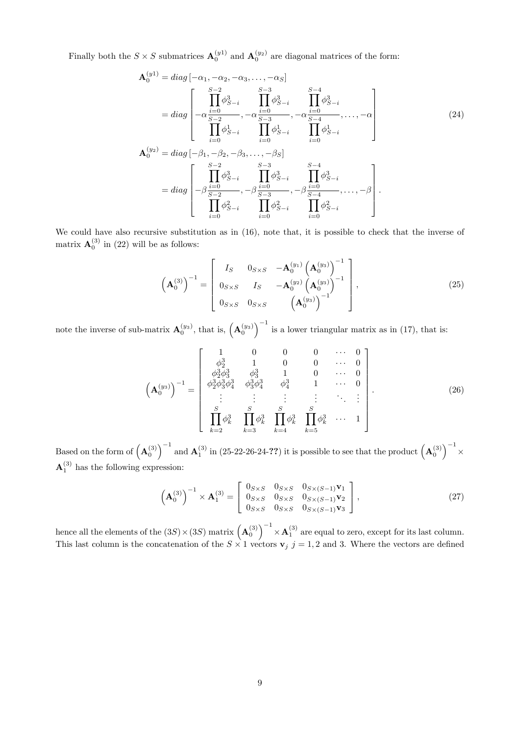Finally both the  $S \times S$  submatrices  $\mathbf{A}_0^{(y_1)}$  and  $\mathbf{A}_0^{(y_2)}$  are diagonal matrices of the form:

$$
\mathbf{A}_{0}^{(y1)} = diag\left[-\alpha_{1}, -\alpha_{2}, -\alpha_{3}, \dots, -\alpha_{S}\right]
$$
\n
$$
= diag\left[-\alpha \frac{\prod_{i=0}^{S-2} \phi_{S-i}^{3}}{\prod_{i=0}^{S-2} \phi_{S-i}^{3}}, -\alpha \frac{\prod_{i=0}^{S-4} \phi_{S-i}^{3}}{\prod_{i=0}^{S-4} \phi_{S-i}^{3}}, -\alpha \frac{\prod_{i=0}^{S-4} \phi_{S-i}^{3}}{\prod_{i=0}^{S-4} \phi_{S-i}^{1}}\right]
$$
\n
$$
\mathbf{A}_{0}^{(y2)} = diag\left[-\beta_{1}, -\beta_{2}, -\beta_{3}, \dots, -\beta_{S}\right]
$$
\n
$$
= diag\left[\frac{\prod_{i=0}^{S-2} \phi_{S-i}^{3}}{\prod_{i=0}^{S-3} \phi_{S-i}^{3}}, -\beta \frac{\prod_{i=0}^{S-4} \phi_{S-i}^{3}}{\prod_{i=0}^{S-4} \phi_{S-i}^{3}}, -\beta \frac{\prod_{i=0}^{S-4} \phi_{S-i}^{3}}{\prod_{i=0}^{S-4} \phi_{S-i}^{3}}\right].
$$
\n(24)

We could have also recursive substitution as in (16), note that, it is possible to check that the inverse of matrix  $\mathbf{A}_0^{(3)}$  in (22) will be as follows:

$$
\left(\mathbf{A}_{0}^{(3)}\right)^{-1} = \begin{bmatrix} I_S & 0_{S \times S} & -\mathbf{A}_{0}^{(y_1)} \left(\mathbf{A}_{0}^{(y_3)}\right)^{-1} \\ 0_{S \times S} & I_S & -\mathbf{A}_{0}^{(y_2)} \left(\mathbf{A}_{0}^{(y_3)}\right)^{-1} \\ 0_{S \times S} & 0_{S \times S} & \left(\mathbf{A}_{0}^{(y_3)}\right)^{-1} \end{bmatrix},
$$
\n(25)

note the inverse of sub-matrix  $\mathbf{A}_0^{(y_3)}$ , that is,  $(\mathbf{A}_0^{(y_3)})^{-1}$  is a lower triangular matrix as in (17), that is:

$$
\left(\mathbf{A}_{0}^{(y_{3})}\right)^{-1} = \begin{bmatrix} 1 & 0 & 0 & 0 & \cdots & 0 \\ \phi_{2}^{3} & 1 & 0 & 0 & \cdots & 0 \\ \phi_{2}^{3}\phi_{3}^{3} & \phi_{3}^{3} & 1 & 0 & \cdots & 0 \\ \phi_{2}^{3}\phi_{3}^{3}\phi_{4}^{3} & \phi_{3}^{3}\phi_{4}^{3} & \phi_{4}^{3} & 1 & \cdots & 0 \\ \vdots & \vdots & \vdots & \vdots & \ddots & \vdots \\ \mathbf{S} & \mathbf{S} & \mathbf{S} & \mathbf{S} \\ \prod_{k=2}^{S} \phi_{k}^{3} & \prod_{k=3}^{S} \phi_{k}^{3} & \prod_{k=4}^{S} \phi_{k}^{3} & \cdots & 1 \end{bmatrix} \tag{26}
$$

Based on the form of  $(A_0^{(3)})^{-1}$  and  $A_1^{(3)}$  in (25-22-26-24-??) it is possible to see that the product  $(A_0^{(3)})^{-1}$ Based on the form of  $(\mathbf{A}_0^{\delta})$  and  $\mathbf{A}_1^{\delta}$  in (25-22-26-24- $\ell \ell$ ) it is possible to see that the product  $(\mathbf{A}_0^{\delta}) \times$ <br> $\mathbf{A}_1^{(3)}$  has the following expression:

$$
\left(\mathbf{A}_{0}^{(3)}\right)^{-1} \times \mathbf{A}_{1}^{(3)} = \begin{bmatrix} 0_{S \times S} & 0_{S \times S} & 0_{S \times (S-1)} \mathbf{v}_{1} \\ 0_{S \times S} & 0_{S \times S} & 0_{S \times (S-1)} \mathbf{v}_{2} \\ 0_{S \times S} & 0_{S \times S} & 0_{S \times (S-1)} \mathbf{v}_{3} \end{bmatrix},\tag{27}
$$

hence all the elements of the  $(3S) \times (3S)$  matrix  $\left(\mathbf{A}_0^{(3)}\right)^{-1}$  $\times \mathbf{A}_1^{(3)}$  are equal to zero, except for its last column. This last column is the concatenation of the  $S \times 1$  vectors  $\mathbf{v}_j$   $j = 1, 2$  and 3. Where the vectors are defined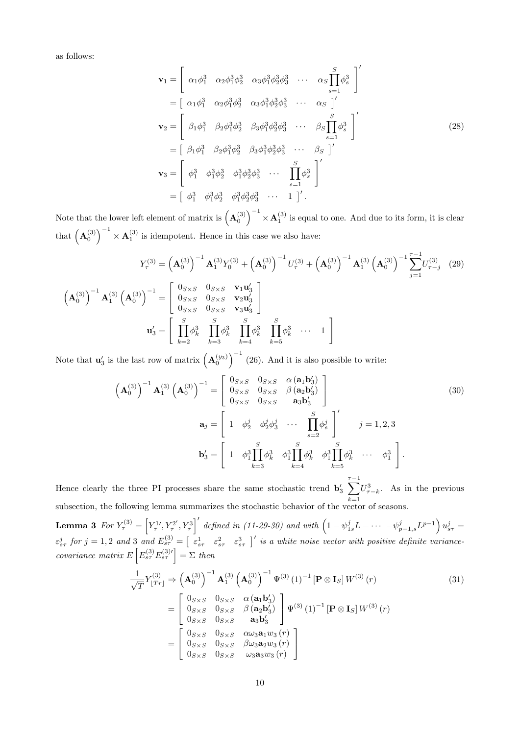as follows:

$$
\mathbf{v}_{1} = \begin{bmatrix} \alpha_{1}\phi_{1}^{3} & \alpha_{2}\phi_{1}^{3}\phi_{2}^{3} & \alpha_{3}\phi_{1}^{3}\phi_{2}^{3}\phi_{3}^{3} & \cdots & \alpha_{S}\prod_{s=1}^{S}\phi_{s}^{3} \end{bmatrix}'
$$
  
\n
$$
= \begin{bmatrix} \alpha_{1}\phi_{1}^{3} & \alpha_{2}\phi_{1}^{3}\phi_{2}^{3} & \alpha_{3}\phi_{1}^{3}\phi_{2}^{3}\phi_{3}^{3} & \cdots & \alpha_{S}\end{bmatrix}'
$$
  
\n
$$
\mathbf{v}_{2} = \begin{bmatrix} \beta_{1}\phi_{1}^{3} & \beta_{2}\phi_{1}^{3}\phi_{2}^{3} & \beta_{3}\phi_{1}^{3}\phi_{2}^{3}\phi_{3}^{3} & \cdots & \beta_{S}\prod_{s=1}^{S}\phi_{s}^{3} \end{bmatrix}'
$$
  
\n
$$
= \begin{bmatrix} \beta_{1}\phi_{1}^{3} & \beta_{2}\phi_{1}^{3}\phi_{2}^{3} & \beta_{3}\phi_{1}^{3}\phi_{2}^{3}\phi_{3}^{3} & \cdots & \beta_{S}\end{bmatrix}'
$$
  
\n
$$
\mathbf{v}_{3} = \begin{bmatrix} \phi_{1}^{3} & \phi_{1}^{3}\phi_{2}^{3} & \phi_{1}^{3}\phi_{2}^{3}\phi_{3}^{3} & \cdots & \prod_{s=1}^{S}\phi_{s}^{3} \end{bmatrix}'
$$
  
\n
$$
= \begin{bmatrix} \phi_{1}^{3} & \phi_{1}^{3}\phi_{2}^{3} & \phi_{1}^{3}\phi_{2}^{3}\phi_{3}^{3} & \cdots & 1 \end{bmatrix}'.
$$
  
\n(28)

Note that the lower left element of matrix is  $\left(\mathbf{A}_0^{(3)}\right)^{-1}$  $\times$  **A**<sup>(3)</sup> is equal to one. And due to its form, it is clear that  $\left(\mathbf{A}_0^{(3)}\right)^{-1}$  $\times$  **A**<sup>(3)</sup> is idempotent. Hence in this case we also have:

$$
Y_{\tau}^{(3)} = \left(\mathbf{A}_{0}^{(3)}\right)^{-1} \mathbf{A}_{1}^{(3)} Y_{0}^{(3)} + \left(\mathbf{A}_{0}^{(3)}\right)^{-1} U_{\tau}^{(3)} + \left(\mathbf{A}_{0}^{(3)}\right)^{-1} \mathbf{A}_{1}^{(3)} \left(\mathbf{A}_{0}^{(3)}\right)^{-1} \sum_{j=1}^{\tau-1} U_{\tau-j}^{(3)} \tag{29}
$$
\n
$$
\left(\mathbf{A}_{0}^{(3)}\right)^{-1} \mathbf{A}_{1}^{(3)} \left(\mathbf{A}_{0}^{(3)}\right)^{-1} = \begin{bmatrix} 0_{S \times S} & 0_{S \times S} & \mathbf{v}_{1} \mathbf{u}_{3}^{t} \\ 0_{S \times S} & 0_{S \times S} & \mathbf{v}_{2} \mathbf{u}_{3}^{t} \\ 0_{S \times S} & 0_{S \times S} & \mathbf{v}_{3} \mathbf{u}_{3}^{t} \end{bmatrix}
$$
\n
$$
\mathbf{u}_{3}^{'} = \begin{bmatrix} S & S & 0_{S \times S} & \mathbf{v}_{1} \mathbf{u}_{3}^{t} \\ \prod_{k=2}^{S} \phi_{k}^{3} & \prod_{k=3}^{S} \phi_{k}^{3} & \prod_{k=5}^{S} \phi_{k}^{3} & \cdots & 1 \end{bmatrix}
$$

Note that  $\mathbf{u}'_3$  is the last row of matrix  $(\mathbf{A}_0^{(y_3)})^{-1}$  (26). And it is also possible to write:

$$
\left(\mathbf{A}_{0}^{(3)}\right)^{-1}\mathbf{A}_{1}^{(3)}\left(\mathbf{A}_{0}^{(3)}\right)^{-1} = \begin{bmatrix} 0_{S\times S} & 0_{S\times S} & \alpha(\mathbf{a}_{1}\mathbf{b}_{3}') \\ 0_{S\times S} & 0_{S\times S} & \beta(\mathbf{a}_{2}\mathbf{b}_{3}') \\ 0_{S\times S} & 0_{S\times S} & \mathbf{a}_{3}\mathbf{b}_{3}' \end{bmatrix}
$$
\n
$$
\mathbf{a}_{j} = \begin{bmatrix} 1 & \phi_{2}^{j} & \phi_{2}^{j}\phi_{3}^{j} & \cdots & \prod_{s=2}^{S}\phi_{s}^{j} \\ 1 & \phi_{1}^{j} & \vdots & \vdots & \vdots \\ 1 & \phi_{1}^{j} & \vdots & \vdots & \vdots & \vdots \\ 1 & \phi_{1}^{j} & \vdots & \vdots & \vdots & \vdots & \vdots & \vdots \\ 1 & \phi_{1}^{j} & \vdots & \phi_{k}^{j} & \phi_{1}^{j} & \cdots & \phi_{1}^{j} \\ 1 & \vdots & \vdots & \vdots & \vdots & \vdots & \vdots & \vdots & \vdots \end{bmatrix}.
$$
\n(30)

Hence clearly the three PI processes share the same stochastic trend  $\mathbf{b}'_3$   $\sum_{ }^{ \tau-1}$  $k=1$  $U^3_{\tau-k}$ . As in the previous subsection, the following lemma summarizes the stochastic behavior of the vector of seasons.

**Lemma 3** For  $Y^{(3)}_{\tau} = \left[ Y^{1\prime}_\tau, Y^{2\prime}_\tau \right]$  $\left( \nabla^2 \cdot Y^3_\tau \right)'$  defined in (11-29-30) and with  $\left( 1 - \psi_{1s}^j L - \cdots - \psi_{p-1,s}^j L^{p-1} \right) u_{s\tau}^j = 0$  $\varepsilon_{s\tau}^{j}$  for  $j=1,2$  and 3 and  $E_{s\tau}^{(3)} = \begin{bmatrix} \varepsilon_{s\tau}^{1} & \varepsilon_{s\tau}^{2} & \varepsilon_{s\tau}^{3} \end{bmatrix}$  is a white noise vector with positive definite variancecovariance matrix  $E\left[E_{s\tau}^{(3)}E_{s\tau}^{(3)\prime}\right]=\sum$  then

$$
\frac{1}{\sqrt{T}}Y_{\lfloor Tr \rfloor}^{(3)} \Rightarrow \left(\mathbf{A}_{0}^{(3)}\right)^{-1}\mathbf{A}_{1}^{(3)}\left(\mathbf{A}_{0}^{(3)}\right)^{-1}\Psi^{(3)}\left(1\right)^{-1}\left[\mathbf{P}\otimes\mathbf{I}_{S}\right]W^{(3)}\left(r\right) \n= \begin{bmatrix} 0_{S\times S} & 0_{S\times S} & \alpha\left(\mathbf{a}_{1}\mathbf{b}_{3}'\right) \\ 0_{S\times S} & 0_{S\times S} & \beta\left(\mathbf{a}_{2}\mathbf{b}_{3}'\right) \\ 0_{S\times S} & 0_{S\times S} & \mathbf{a}_{3}\mathbf{b}_{3}' \end{bmatrix}\Psi^{(3)}\left(1\right)^{-1}\left[\mathbf{P}\otimes\mathbf{I}_{S}\right]W^{(3)}\left(r\right) \n= \begin{bmatrix} 0_{S\times S} & 0_{S\times S} & \alpha\omega_{3}\mathbf{a}_{1}w_{3}\left(r\right) \\ 0_{S\times S} & 0_{S\times S} & \beta\omega_{3}\mathbf{a}_{2}w_{3}\left(r\right) \\ 0_{S\times S} & 0_{S\times S} & \omega_{3}\mathbf{a}_{3}w_{3}\left(r\right) \end{bmatrix}
$$
\n(31)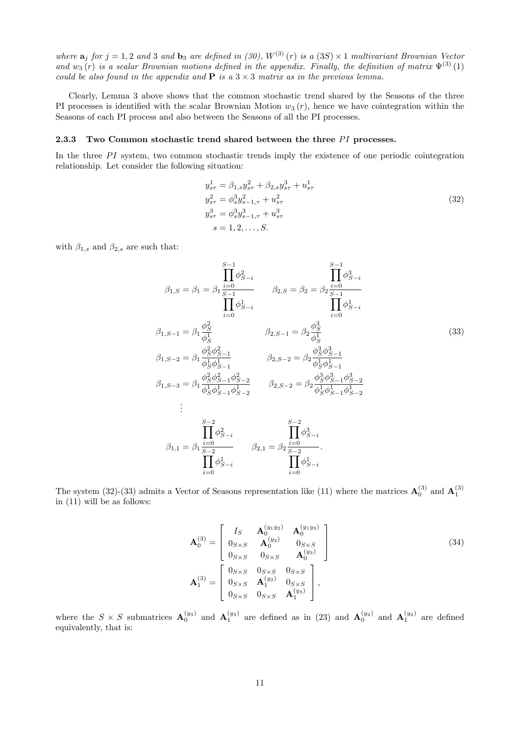where  $\mathbf{a}_j$  for  $j = 1, 2$  and 3 and  $\mathbf{b}_3$  are defined in (30),  $W^{(3)}(r)$  is a (3S)  $\times$  1 multivariant Brownian Vector and  $w_3(r)$  is a scalar Brownian motions defined in the appendix. Finally, the definition of matrix  $\Psi^{(3)}(1)$ could be also found in the appendix and  $P$  is a  $3 \times 3$  matrix as in the previous lemma.

Clearly, Lemma 3 above shows that the common stochastic trend shared by the Seasons of the three PI processes is identified with the scalar Brownian Motion  $w_3(r)$ , hence we have cointegration within the Seasons of each PI process and also between the Seasons of all the PI processes.

#### 2.3.3 Two Common stochastic trend shared between the three  $PI$  processes.

In the three  $PI$  system, two common stochastic trends imply the existence of one periodic cointegration relationship. Let consider the following situation:

$$
y_{s\tau}^{1} = \beta_{1,s} y_{s\tau}^{2} + \beta_{2,s} y_{s\tau}^{3} + u_{s\tau}^{1}
$$
  
\n
$$
y_{s\tau}^{2} = \phi_{s}^{3} y_{s-1,\tau}^{2} + u_{s\tau}^{2}
$$
  
\n
$$
y_{s\tau}^{3} = \phi_{s}^{3} y_{s-1,\tau}^{3} + u_{s\tau}^{3}
$$
  
\n
$$
s = 1, 2, ..., S.
$$
  
\n(32)

with  $\beta_{1,s}$  and  $\beta_{2,s}$  are such that:

$$
\beta_{1,S} = \beta_{1} = \beta_{1} \frac{\prod_{i=0}^{S-1} \phi_{S-i}^{2}}{\prod_{i=0}^{S-1} \phi_{S-i}} \qquad \beta_{2,S} = \beta_{2} = \beta_{2} \frac{\prod_{i=0}^{S-1} \phi_{S-i}^{3}}{\prod_{i=0}^{S-1} \phi_{S-i}} \qquad \prod_{i=0}^{S-1} \phi_{S-i}^{1}
$$
\n
$$
\beta_{1,S-1} = \beta_{1} \frac{\phi_{S}^{2}}{\phi_{S}^{1}} \qquad \beta_{2,S-1} = \beta_{2} \frac{\phi_{S}^{3}}{\phi_{S}^{1}} \qquad \beta_{2,S-2} = \beta_{2} \frac{\phi_{S}^{3} \phi_{S-1}^{3}}{\phi_{S}^{1} \phi_{S-1}^{1}} \qquad \beta_{2,S-2} = \beta_{2} \frac{\phi_{S}^{3} \phi_{S-1}^{3}}{\phi_{S}^{1} \phi_{S-1}^{1}} \qquad \beta_{1,S-3} = \beta_{1} \frac{\phi_{S}^{2} \phi_{S-1}^{2} \phi_{S-2}^{2}}{\phi_{S}^{1} \phi_{S-1}^{1} \phi_{S-2}^{1}} \qquad \beta_{2,S-2} = \beta_{2} \frac{\phi_{S}^{3} \phi_{S-1}^{3} \phi_{S-2}^{3}}{\phi_{S}^{1} \phi_{S-1}^{1} \phi_{S-2}^{1}}
$$
\n
$$
\vdots
$$
\n
$$
\beta_{1,1} = \beta_{1} \frac{\prod_{i=0}^{S-2} \phi_{S-i}^{2}}{\sum_{i=0}^{S-2} \phi_{S-i}^{2}} \qquad \beta_{2,1} = \beta_{2} \frac{\prod_{i=0}^{S-2} \phi_{S-i}^{3}}{\prod_{i=0}^{S-2} \phi_{S-i}^{1}} \qquad \prod_{i=0}^{S-2} \phi_{S-i}^{1}
$$

The system (32)-(33) admits a Vector of Seasons representation like (11) where the matrices  $\mathbf{A}_0^{(3)}$  and  $\mathbf{A}_1^{(3)}$ in (11) will be as follows:

$$
\mathbf{A}_{0}^{(3)} = \begin{bmatrix} I_{S} & \mathbf{A}_{0}^{(y_{1}y_{2})} & \mathbf{A}_{0}^{(y_{1}y_{3})} \\ 0_{S\times S} & \mathbf{A}_{0}^{(y_{2})} & 0_{S\times S} \\ 0_{S\times S} & 0_{S\times S} & \mathbf{A}_{0}^{(y_{3})} \end{bmatrix}
$$
\n
$$
\mathbf{A}_{1}^{(3)} = \begin{bmatrix} 0_{S\times S} & 0_{S\times S} & 0_{S\times S} \\ 0_{S\times S} & \mathbf{A}_{1}^{(y_{2})} & 0_{S\times S} \\ 0_{S\times S} & 0_{S\times S} & \mathbf{A}_{1}^{(y_{3})} \end{bmatrix},
$$
\n(34)

where the  $S \times S$  submatrices  $\mathbf{A}_0^{(y_3)}$  and  $\mathbf{A}_1^{(y_3)}$  are defined as in (23) and  $\mathbf{A}_0^{(y_2)}$  and  $\mathbf{A}_1^{(y_2)}$  are defined equivalently, that is: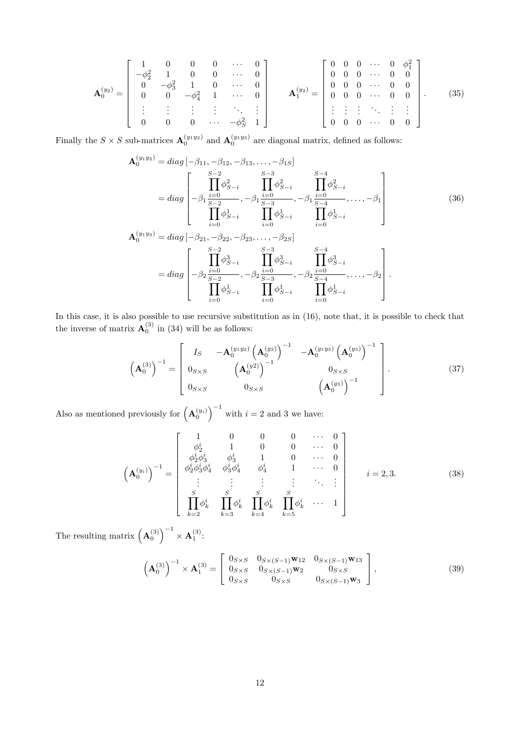$$
\mathbf{A}_{0}^{(y_{2})} = \begin{bmatrix} 1 & 0 & 0 & 0 & \cdots & 0 \\ -\phi_{2}^{2} & 1 & 0 & 0 & \cdots & 0 \\ 0 & -\phi_{3}^{2} & 1 & 0 & \cdots & 0 \\ 0 & 0 & -\phi_{4}^{2} & 1 & \cdots & 0 \\ \vdots & \vdots & \vdots & \vdots & \ddots & \vdots \\ 0 & 0 & 0 & \cdots & -\phi_{S}^{2} & 1 \end{bmatrix} \qquad \mathbf{A}_{1}^{(y_{2})} = \begin{bmatrix} 0 & 0 & 0 & \cdots & 0 & \phi_{1}^{2} \\ 0 & 0 & 0 & \cdots & 0 & 0 \\ 0 & 0 & 0 & \cdots & 0 & 0 \\ \vdots & \vdots & \vdots & \ddots & \vdots & \vdots \\ 0 & 0 & 0 & \cdots & 0 & 0 \end{bmatrix} . \qquad (35)
$$

Finally the  $S \times S$  sub-matrices  $\mathbf{A}_0^{(y_1y_2)}$  and  $\mathbf{A}_0^{(y_1y_3)}$  are diagonal matrix, defined as follows:

$$
\mathbf{A}_{0}^{(y_{1}y_{2})} = diag\left[-\beta_{11}, -\beta_{12}, -\beta_{13}, \dots, -\beta_{1S}\right]
$$
\n
$$
= diag\left[-\beta_{11} \frac{\prod_{i=0}^{S-2} \phi_{S-i}^{2}}{\prod_{j=0}^{S-3} \phi_{S-i}^{2}}, -\beta_{1} \frac{\prod_{i=0}^{S-4} \phi_{S-i}^{2}}{\prod_{i=0}^{S-3} \phi_{S-i}^{2}}, -\beta_{1} \frac{\prod_{i=0}^{S-4} \phi_{S-i}^{2}}{\prod_{i=0}^{S-4} \phi_{S-i}^{1}}, \dots, -\beta_{1}\right]
$$
\n
$$
\mathbf{A}_{0}^{(y_{1}y_{3})} = diag\left[-\beta_{21}, -\beta_{22}, -\beta_{23}, \dots, -\beta_{2S}\right]
$$
\n
$$
= diag\left[-\beta_{2} \frac{\prod_{i=0}^{S-2} \phi_{S-i}^{2}}{\prod_{i=0}^{S-3} \phi_{S-i}^{2}}, -\beta_{2} \frac{\prod_{i=0}^{S-4} \phi_{S-i}^{3}}{\prod_{i=0}^{S-4} \phi_{S-i}^{2}}, -\beta_{2} \frac{\prod_{i=0}^{S-4} \phi_{S-i}^{3}}{\prod_{i=0}^{S-4} \phi_{S-i}^{2}}, \dots, -\beta_{2}\right].
$$
\n(36)

In this case, it is also possible to use recursive substitution as in (16), note that, it is possible to check that the inverse of matrix  $\mathbf{A}_0^{(3)}$  in (34) will be as follows:

$$
\left(\mathbf{A}_{0}^{(3)}\right)^{-1} = \begin{bmatrix} I_S & -\mathbf{A}_{0}^{(y_{1}y_{2})} \left(\mathbf{A}_{0}^{(y_{2})}\right)^{-1} & -\mathbf{A}_{0}^{(y_{1}y_{3})} \left(\mathbf{A}_{0}^{(y_{3})}\right)^{-1} \\ 0_{S \times S} & \left(\mathbf{A}_{0}^{(y_{2})}\right)^{-1} & 0_{S \times S} \\ 0_{S \times S} & 0_{S \times S} & \left(\mathbf{A}_{0}^{(y_{3})}\right)^{-1} \end{bmatrix} . \tag{37}
$$

Also as mentioned previously for  $\left(\mathbf{A}_0^{(y_i)}\right)^{-1}$  with  $i=2$  and 3 we have:

$$
\left(\mathbf{A}_{0}^{(y_{i})}\right)^{-1} = \begin{bmatrix} 1 & 0 & 0 & 0 & \cdots & 0 \\ \phi_{2}^{i} & 1 & 0 & 0 & \cdots & 0 \\ \phi_{2}^{i}\phi_{3}^{i} & \phi_{3}^{i} & 1 & 0 & \cdots & 0 \\ \phi_{2}^{i}\phi_{3}^{i}\phi_{4}^{i} & \phi_{3}^{i}\phi_{4}^{i} & \phi_{4}^{i} & 1 & \cdots & 0 \\ \vdots & \vdots & \vdots & \vdots & \ddots & \vdots \\ \sum_{k=2}^{S} & \sum_{k=3}^{S} & \sum_{k=4}^{S} \phi_{k}^{i} & \prod_{k=5}^{S} \phi_{k}^{i} & \cdots & 1 \end{bmatrix} \qquad i = 2, 3.
$$
 (38)

The resulting matrix  $\left(\mathbf{A}_0^{(3)}\right)^{-1}$  $\times$  A<sub>1</sub><sup>(3)</sup>:

$$
\left(\mathbf{A}_{0}^{(3)}\right)^{-1} \times \mathbf{A}_{1}^{(3)} = \begin{bmatrix} 0_{S \times S} & 0_{S \times (S-1)} \mathbf{w}_{12} & 0_{S \times (S-1)} \mathbf{w}_{13} \\ 0_{S \times S} & 0_{S \times (S-1)} \mathbf{w}_{2} & 0_{S \times S} \\ 0_{S \times S} & 0_{S \times S} & 0_{S \times (S-1)} \mathbf{w}_{3} \end{bmatrix},
$$
\n(39)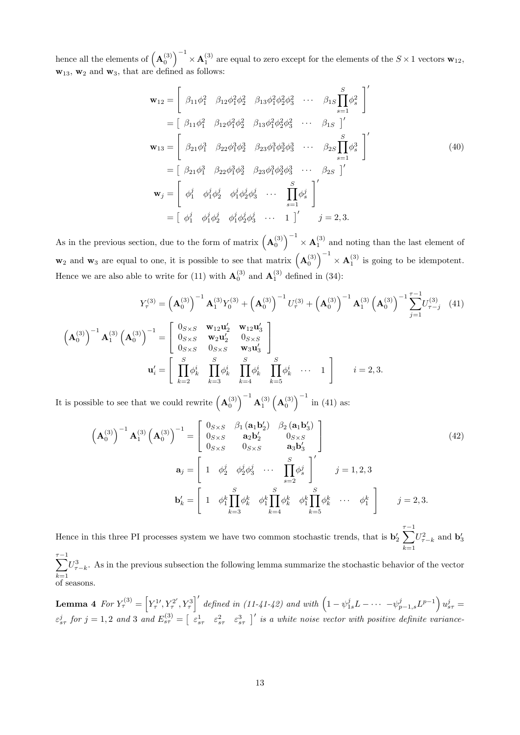hence all the elements of  $\left(\mathbf{A}_0^{(3)}\right)^{-1}$  $\times$  **A**<sup>(3)</sup> are equal to zero except for the elements of the  $S \times 1$  vectors **w**<sub>12</sub>,  $\mathbf{w}_{13}$ ,  $\mathbf{w}_2$  and  $\mathbf{w}_3$ , that are defined as follows:

$$
\mathbf{w}_{12} = \begin{bmatrix} \beta_{11}\phi_1^2 & \beta_{12}\phi_1^2\phi_2^2 & \beta_{13}\phi_1^2\phi_2^2\phi_3^2 & \cdots & \beta_{1S}\prod_{s=1}^S\phi_s^2 \\ = \begin{bmatrix} \beta_{11}\phi_1^2 & \beta_{12}\phi_1^2\phi_2^2 & \beta_{13}\phi_1^2\phi_2^2\phi_3^2 & \cdots & \beta_{1S} \end{bmatrix}' \\ \mathbf{w}_{13} = \begin{bmatrix} \beta_{21}\phi_1^3 & \beta_{22}\phi_1^3\phi_2^3 & \beta_{23}\phi_1^3\phi_2^3\phi_3^3 & \cdots & \beta_{2S}\prod_{s=1}^S\phi_s^3 \\ = \begin{bmatrix} \beta_{21}\phi_1^3 & \beta_{22}\phi_1^3\phi_2^3 & \beta_{23}\phi_1^3\phi_2^3\phi_3^3 & \cdots & \beta_{2S} \end{bmatrix}' \\ \mathbf{w}_j = \begin{bmatrix} \phi_1^j & \phi_1^j\phi_2^j & \phi_1^j\phi_2^j\phi_3^j & \cdots & \prod_{s=1}^S\phi_s^j \\ \phi_1^j & \phi_1^j\phi_2^j & \phi_1^j\phi_2^j\phi_3^j & \cdots & 1 \end{bmatrix}' \end{bmatrix}'_j = 2, 3.
$$

As in the previous section, due to the form of matrix  $(\mathbf{A}_0^{(3)})^{-1}$  $\times$  **A**<sup>(3)</sup> and noting than the last element of  $\mathbf{w}_2$  and  $\mathbf{w}_3$  are equal to one, it is possible to see that matrix  $(\mathbf{A}_0^{(3)})^{-1}$  $\times$  **A**<sup>(3)</sup> is going to be idempotent. Hence we are also able to write for (11) with  $\mathbf{A}_0^{(3)}$  and  $\mathbf{A}_1^{(3)}$  defined in (34):

$$
Y_{\tau}^{(3)} = \left(\mathbf{A}_{0}^{(3)}\right)^{-1} \mathbf{A}_{1}^{(3)} Y_{0}^{(3)} + \left(\mathbf{A}_{0}^{(3)}\right)^{-1} U_{\tau}^{(3)} + \left(\mathbf{A}_{0}^{(3)}\right)^{-1} \mathbf{A}_{1}^{(3)} \left(\mathbf{A}_{0}^{(3)}\right)^{-1} \sum_{j=1}^{\tau-1} U_{\tau-j}^{(3)} \quad (41)
$$

$$
\left(\mathbf{A}_{0}^{(3)}\right)^{-1} \mathbf{A}_{1}^{(3)} \left(\mathbf{A}_{0}^{(3)}\right)^{-1} = \begin{bmatrix} 0_{S \times S} & \mathbf{w}_{12} \mathbf{u}_{2}^{\prime} & \mathbf{w}_{12} \mathbf{u}_{3}^{\prime} \\ 0_{S \times S} & \mathbf{w}_{2} \mathbf{u}_{2}^{\prime} & 0_{S \times S} \\ 0_{S \times S} & 0_{S \times S} & \mathbf{w}_{3} \mathbf{u}_{3}^{\prime} \end{bmatrix}
$$

$$
\mathbf{u}_{i}^{\prime} = \begin{bmatrix} \sum_{k=2}^{S} \phi_{k}^{i} & \sum_{k=3}^{S} \phi_{k}^{i} & \prod_{k=4}^{S} \phi_{k}^{i} & \prod_{k=5}^{S} \phi_{k}^{i} & \cdots & 1 \end{bmatrix} \qquad i = 2, 3.
$$

It is possible to see that we could rewrite  $(A_0^{(3)})^{-1} A_1^{(3)} (A_0^{(3)})^{-1}$  in (41) as:

$$
\left(\mathbf{A}_{0}^{(3)}\right)^{-1}\mathbf{A}_{1}^{(3)}\left(\mathbf{A}_{0}^{(3)}\right)^{-1} = \begin{bmatrix} 0_{S\times S} & \beta_{1}(\mathbf{a}_{1}\mathbf{b}_{2}') & \beta_{2}(\mathbf{a}_{1}\mathbf{b}_{3}') \\ 0_{S\times S} & \mathbf{a}_{2}\mathbf{b}_{2}' & 0_{S\times S} \\ 0_{S\times S} & 0_{S\times S} & \mathbf{a}_{3}\mathbf{b}_{3}' \end{bmatrix}
$$
\n
$$
\mathbf{a}_{j} = \begin{bmatrix} 1 & \phi_{2}^{j} & \phi_{2}^{j}\phi_{3}^{j} & \cdots & \prod_{s=2}^{S} \phi_{s}^{j} \\ 1 & \phi_{1}^{k}\prod_{k=3}^{j} \phi_{k}^{k} & \phi_{1}^{k}\prod_{k=4}^{j} \phi_{k}^{k} & \phi_{1}^{k}\prod_{k=5}^{j} \phi_{k}^{k} & \cdots & \phi_{1}^{k} \end{bmatrix} \qquad j = 2, 3.
$$
\n(42)

Hence in this three PI processes system we have two common stochastic trends, that is  $\mathbf{b}'_2 \sum_{\tau-k}^{\tau-1} U_{\tau-k}^2$  and  $\mathbf{b}'_3$  $k=1$ 

 $\sum_{ }^{ \tau -1}$  $k=1$  $U^3_{\tau-k}$ . As in the previous subsection the following lemma summarize the stochastic behavior of the vector of seasons.

**Lemma 4** For  $Y^{(3)}_{\tau} = \left[ Y^{1\prime}_\tau, Y^{2\prime}_\tau \right]$  $\left( \nabla^2 \cdot Y^3_\tau \right)'$  defined in (11-41-42) and with  $\left( 1 - \psi_{1s}^j L - \cdots - \psi_{p-1,s}^j L^{p-1} \right) u_{s\tau}^j = 0$  $\varepsilon_{s\tau}^{j}$  for  $j=1,2$  and 3 and  $E_{s\tau}^{(3)} = \begin{bmatrix} \varepsilon_{s\tau}^{1} & \varepsilon_{s\tau}^{2} & \varepsilon_{s\tau}^{3} \end{bmatrix}$  is a white noise vector with positive definite variance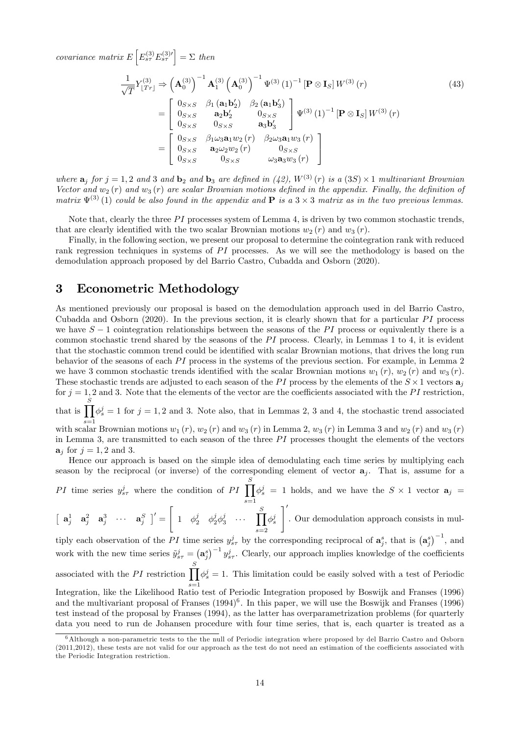covariance matrix  $E\left[E_{s\tau}^{(3)}E_{s\tau}^{(3)\prime}\right]=\Sigma$  then

$$
\frac{1}{\sqrt{T}}Y_{[Tr]}^{(3)} \Rightarrow \left(\mathbf{A}_0^{(3)}\right)^{-1}\mathbf{A}_1^{(3)} \left(\mathbf{A}_0^{(3)}\right)^{-1}\Psi^{(3)} (1)^{-1} \left[\mathbf{P} \otimes \mathbf{I}_S\right] W^{(3)} (r) \n= \begin{bmatrix} 0_{S \times S} & \beta_1 (\mathbf{a}_1 \mathbf{b}_2') & \beta_2 (\mathbf{a}_1 \mathbf{b}_3') \\ 0_{S \times S} & \mathbf{a}_2 \mathbf{b}_2' & 0_{S \times S} \\ 0_{S \times S} & 0_{S \times S} & \mathbf{a}_3 \mathbf{b}_3' \end{bmatrix} \Psi^{(3)} (1)^{-1} \left[\mathbf{P} \otimes \mathbf{I}_S\right] W^{(3)} (r) \n= \begin{bmatrix} 0_{S \times S} & \beta_1 \omega_3 \mathbf{a}_1 w_2 (r) & \beta_2 \omega_3 \mathbf{a}_1 w_3 (r) \\ 0_{S \times S} & \mathbf{a}_2 \omega_2 w_2 (r) & 0_{S \times S} \\ 0_{S \times S} & 0_{S \times S} & \omega_3 \mathbf{a}_3 w_3 (r) \end{bmatrix}
$$
\n
$$
(43)
$$

where  $\mathbf{a}_j$  for  $j = 1, 2$  and  $3$  and  $\mathbf{b}_2$  and  $\mathbf{b}_3$  are defined in (42),  $W^{(3)}(r)$  is a (3S)  $\times$  1 multivariant Brownian Vector and  $w_2(r)$  and  $w_3(r)$  are scalar Brownian motions defined in the appendix. Finally, the definition of matrix  $\Psi^{(3)}(1)$  could be also found in the appendix and **P** is a 3  $\times$  3 matrix as in the two previous lemmas.

Note that, clearly the three  $PI$  processes system of Lemma 4, is driven by two common stochastic trends, that are clearly identified with the two scalar Brownian motions  $w_2 (r)$  and  $w_3 (r)$ .

Finally, in the following section, we present our proposal to determine the cointegration rank with reduced rank regression techniques in systems of  $PI$  processes. As we will see the methodology is based on the demodulation approach proposed by del Barrio Castro, Cubadda and Osborn (2020).

## 3 Econometric Methodology

As mentioned previously our proposal is based on the demodulation approach used in del Barrio Castro, Cubadda and Osborn  $(2020)$ . In the previous section, it is clearly shown that for a particular PI process we have  $S-1$  cointegration relationships between the seasons of the PI process or equivalently there is a common stochastic trend shared by the seasons of the  $PI$  process. Clearly, in Lemmas 1 to 4, it is evident that the stochastic common trend could be identified with scalar Brownian motions, that drives the long run behavior of the seasons of each  $PI$  process in the systems of the previous section. For example, in Lemma 2 we have 3 common stochastic trends identified with the scalar Brownian motions  $w_1(r)$ ,  $w_2(r)$  and  $w_3(r)$ . These stochastic trends are adjusted to each season of the PI process by the elements of the  $S \times 1$  vectors  $a_j$ for  $j = 1, 2$  and 3. Note that the elements of the vector are the coefficients associated with the PI restriction, that is  $\prod_i \phi^j = 1$  for  $j = 1, 2$  and 3. Note also, that in Lemmas 2, 3 and 4, the stochastic trend associated

with scalar Brownian motions  $w_1(r)$ ,  $w_2(r)$  and  $w_3(r)$  in Lemma 2,  $w_3(r)$  in Lemma 3 and  $w_2(r)$  and  $w_3(r)$ 

in Lemma 3, are transmitted to each season of the three  $PI$  processes thought the elements of the vectors  $\mathbf{a}_i$  for  $j = 1, 2$  and 3.

Hence our approach is based on the simple idea of demodulating each time series by multiplying each season by the reciprocal (or inverse) of the corresponding element of vector  $a_i$ . That is, assume for a PI time series  $y_{s\tau}^j$  where the condition of PI  $\prod^S$ 

 $s=1$  $\phi_s^j = 1$  holds, and we have the  $S \times 1$  vector  $\mathbf{a}_j =$  $\sqrt{ }$  $\overline{\phantom{a}}$ 

 $\left[\begin{array}{cccc} \mathbf{a}_j^1 & \mathbf{a}_j^2 & \mathbf{a}_j^3 & \cdots & \mathbf{a}_j^S \end{array}\right]' =$  $1 \quad \phi_2^j \quad \phi_2^j \phi_3^j \quad \cdots \quad \prod^S$  $s=2$  $\phi_s^j$ . Our demodulation approach consists in mul-

tiply each observation of the PI time series  $y_{s\tau}^j$  by the corresponding reciprocal of  $a_j^s$ , that is  $(a_j^s)^{-1}$ , and work with the new time series  $\tilde{y}_{s\tau}^j = (\mathbf{a}_j^s)^{-1} y_{s\tau}^j$ . Clearly, our approach implies knowledge of the coefficients associated with the PI restriction  $\prod \phi^j_s = 1$ . This limitation could be easily solved with a test of Periodic S

s=1 Integration, like the Likelihood Ratio test of Periodic Integration proposed by Boswijk and Franses (1996) and the multivariant proposal of Franses  $(1994)^6$ . In this paper, we will use the Boswijk and Franses  $(1996)$ test instead of the proposal by Franses (1994), as the latter has overparametrization problems (for quarterly data you need to run de Johansen procedure with four time series, that is, each quarter is treated as a

<sup>6</sup>Although a non-parametric tests to the the null of Periodic integration where proposed by del Barrio Castro and Osborn  $(2011,2012)$ , these tests are not valid for our approach as the test do not need an estimation of the coefficients associated with the Periodic Integration restriction.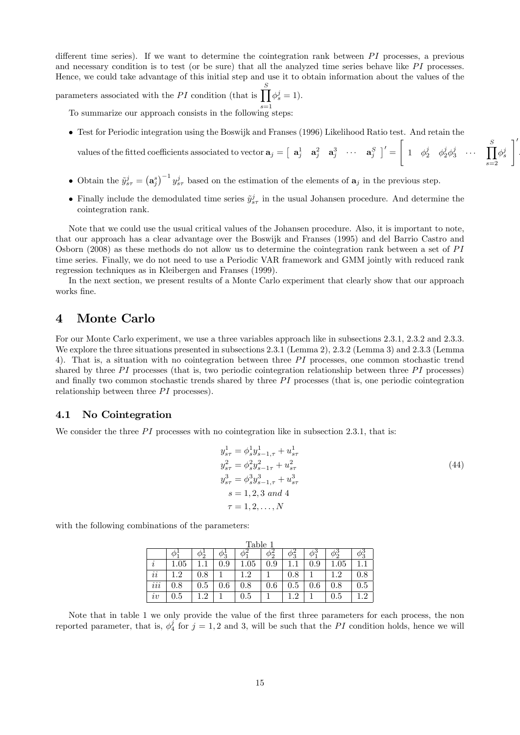different time series). If we want to determine the cointegration rank between  $PI$  processes, a previous and necessary condition is to test (or be sure) that all the analyzed time series behave like  $PI$  processes. Hence, we could take advantage of this initial step and use it to obtain information about the values of the

parameters associated with the PI condition (that is  $\prod_{i=1}^{S}$  $\phi_s^j=1$ ).

To summarize our approach consists in the following steps:

Test for Periodic integration using the Boswijk and Franses (1996) Likelihood Ratio test. And retain the

values of the fitted coefficients associated to vector  $\mathbf{a}_j = \begin{bmatrix} \mathbf{a}_j^1 & \mathbf{a}_j^2 & \mathbf{a}_j^3 & \cdots & \mathbf{a}_j^S \end{bmatrix}' =$  $\sqrt{ }$  $1 \quad \phi_2^j \quad \phi_2^j \phi_3^j \quad \cdots \quad \prod^S$  $s=2$  $\phi_s^j$ 

 $\overline{\phantom{a}}$ .

- Obtain the  $\tilde{y}_{s\tau}^j = (\mathbf{a}_j^s)^{-1} y_{s\tau}^j$  based on the estimation of the elements of  $\mathbf{a}_j$  in the previous step.
- Finally include the demodulated time series  $\tilde{y}_{s\tau}^j$  in the usual Johansen procedure. And determine the cointegration rank.

Note that we could use the usual critical values of the Johansen procedure. Also, it is important to note, that our approach has a clear advantage over the Boswijk and Franses (1995) and del Barrio Castro and Osborn (2008) as these methods do not allow us to determine the cointegration rank between a set of PI time series. Finally, we do not need to use a Periodic VAR framework and GMM jointly with reduced rank regression techniques as in Kleibergen and Franses (1999).

In the next section, we present results of a Monte Carlo experiment that clearly show that our approach works fine.

## 4 Monte Carlo

For our Monte Carlo experiment, we use a three variables approach like in subsections 2.3.1, 2.3.2 and 2.3.3. We explore the three situations presented in subsections 2.3.1 (Lemma 2), 2.3.2 (Lemma 3) and 2.3.3 (Lemma 4). That is, a situation with no cointegration between three  $PI$  processes, one common stochastic trend shared by three PI processes (that is, two periodic cointegration relationship between three  $PI$  processes) and finally two common stochastic trends shared by three  $PI$  processes (that is, one periodic cointegration relationship between three  $PI$  processes).

#### 4.1 No Cointegration

We consider the three  $PI$  processes with no cointegration like in subsection 2.3.1, that is:

$$
y_{s\tau}^1 = \phi_s^1 y_{s-1,\tau}^1 + u_{s\tau}^1
$$
  
\n
$$
y_{s\tau}^2 = \phi_s^2 y_{s-1\tau}^2 + u_{s\tau}^2
$$
  
\n
$$
y_{s\tau}^3 = \phi_s^3 y_{s-1,\tau}^3 + u_{s\tau}^3
$$
  
\n
$$
s = 1, 2, 3 \text{ and } 4
$$
  
\n
$$
\tau = 1, 2, ..., N
$$
 (44)

with the following combinations of the parameters:

|                                  |          |               |                     | Table    |               |                         |         |          |            |
|----------------------------------|----------|---------------|---------------------|----------|---------------|-------------------------|---------|----------|------------|
|                                  |          | $\varphi_{2}$ | $\varphi_{\bar{3}}$ |          | $\varphi_{2}$ | $\varphi_{\bf \bar{3}}$ |         |          | $\phi_3^3$ |
| $\imath$                         | $1.05\,$ |               | 0.9                 | $1.05\,$ | 0.9           |                         | $0.9\,$ | $1.05\,$ |            |
| . .<br>$\imath\imath$            | $1.2\,$  | $0.8\,$       |                     | 1.2      |               | $0.8\,$                 |         | 1.2      | 0.8        |
| $\cdots$<br>$\imath\imath\imath$ | $0.8\,$  | $0.5\,$       | $0.6\,$             | $0.8\,$  | 0.6           | $\rm 0.5$               | $0.6\,$ | 0.8      | 0.5        |
| iv                               | $0.5\,$  | 1.2           |                     | 0.5      |               | ച                       |         | 0.5      | 19         |

Note that in table 1 we only provide the value of the first three parameters for each process, the non reported parameter, that is,  $\phi_4^j$  for  $j = 1, 2$  and 3, will be such that the PI condition holds, hence we will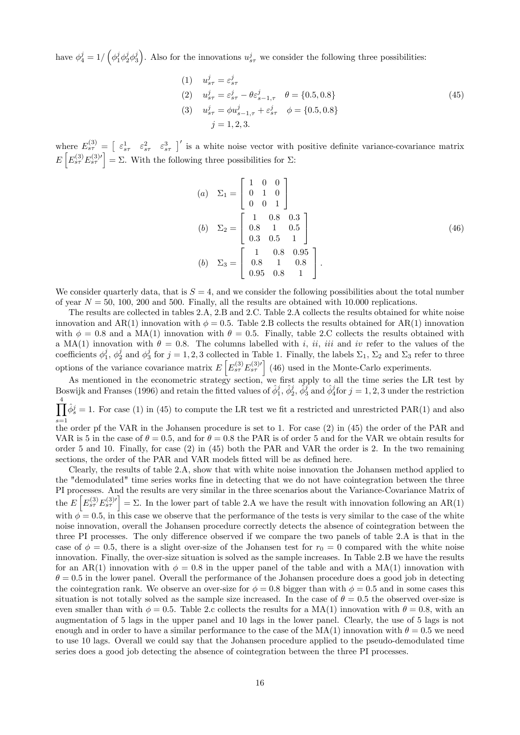have  $\phi_4^j = 1/(\phi_1^j \phi_2^j \phi_3^j)$ . Also for the innovations  $u_{s\tau}^j$  we consider the following three possibilities:

(1) 
$$
u_{s\tau}^j = \varepsilon_{s\tau}^j
$$
  
\n(2)  $u_{s\tau}^j = \varepsilon_{s\tau}^j - \theta \varepsilon_{s-1,\tau}^j$   $\theta = \{0.5, 0.8\}$   
\n(3)  $u_{s\tau}^j = \phi u_{s-1,\tau}^j + \varepsilon_{s\tau}^j$   $\phi = \{0.5, 0.8\}$   
\n(45)  $j = 1, 2, 3$ .

where  $E_{s\tau}^{(3)} = \begin{bmatrix} \varepsilon_{s\tau}^1 & \varepsilon_{s\tau}^2 & \varepsilon_{s\tau}^3 \end{bmatrix}'$  is a white noise vector with positive definite variance-covariance matrix  $E\left[E_{s\tau}^{(3)}E_{s\tau}^{(3)\prime}\right]=\Sigma.$  With the following three possibilities for  $\Sigma$ :

$$
(a) \quad \Sigma_1 = \begin{bmatrix} 1 & 0 & 0 \\ 0 & 1 & 0 \\ 0 & 0 & 1 \end{bmatrix}
$$

$$
(b) \quad \Sigma_2 = \begin{bmatrix} 1 & 0.8 & 0.3 \\ 0.8 & 1 & 0.5 \\ 0.3 & 0.5 & 1 \end{bmatrix}
$$

$$
(b) \quad \Sigma_3 = \begin{bmatrix} 1 & 0.8 & 0.95 \\ 0.8 & 1 & 0.8 \\ 0.95 & 0.8 & 1 \end{bmatrix}.
$$
 (46)

We consider quarterly data, that is  $S = 4$ , and we consider the following possibilities about the total number of year  $N = 50$ , 100, 200 and 500. Finally, all the results are obtained with 10.000 replications.

The results are collected in tables 2.A, 2.B and 2.C. Table 2.A collects the results obtained for white noise innovation and AR(1) innovation with  $\phi = 0.5$ . Table 2.B collects the results obtained for AR(1) innovation with  $\phi = 0.8$  and a MA(1) innovation with  $\theta = 0.5$ . Finally, table 2.C collects the results obtained with a MA(1) innovation with  $\theta = 0.8$ . The columns labelled with i, ii, iii and iv refer to the values of the coefficients  $\phi_1^j$ ,  $\phi_2^j$  and  $\phi_3^j$  for  $j = 1, 2, 3$  collected in Table 1. Finally, the labels  $\Sigma_1$ ,  $\Sigma_2$  and  $\Sigma_3$  refer to three options of the variance covariance matrix  $E\left[E_{s\tau}^{(3)}E_{s\tau}^{(3)\prime}\right]$  (46) used in the Monte-Carlo experiments.

As mentioned in the econometric strategy section, we first apply to all the time series the LR test by Boswijk and Franses (1996) and retain the fitted values of  $\hat{\phi}_1^j$ ,  $\hat{\phi}_2^j$ ,  $\hat{\phi}_3^j$  and  $\hat{\phi}_4^j$  for  $j = 1, 2, 3$  under the restriction  $\int_{0}^{4} \hat{\phi}_{s}^{j} = 1$ . For case (1) in (45) to compute the LR test we fit a restricted and unrestricted PAR(1) and also

 $s=1$ the order pf the VAR in the Johansen procedure is set to 1. For case (2) in (45) the order of the PAR and VAR is 5 in the case of  $\theta = 0.5$ , and for  $\theta = 0.8$  the PAR is of order 5 and for the VAR we obtain results for order 5 and 10. Finally, for case (2) in (45) both the PAR and VAR the order is 2. In the two remaining sections, the order of the PAR and VAR models fitted will be as defined here.

Clearly, the results of table 2.A, show that with white noise innovation the Johansen method applied to the "demodulated" time series works fine in detecting that we do not have cointegration between the three PI processes. And the results are very similar in the three scenarios about the Variance-Covariance Matrix of the  $E\left[E_{s\tau}^{(3)}E_{s\tau}^{(3)\prime}\right]=\Sigma$ . In the lower part of table 2.A we have the result with innovation following an AR(1) with  $\phi = 0.5$ , in this case we observe that the performance of the tests is very similar to the case of the white noise innovation, overall the Johansen procedure correctly detects the absence of cointegration between the three PI processes. The only difference observed if we compare the two panels of table 2.A is that in the case of  $\phi = 0.5$ , there is a slight over-size of the Johansen test for  $r_0 = 0$  compared with the white noise innovation. Finally, the over-size situation is solved as the sample increases. In Table 2.B we have the results for an AR(1) innovation with  $\phi = 0.8$  in the upper panel of the table and with a MA(1) innovation with  $\theta = 0.5$  in the lower panel. Overall the performance of the Johansen procedure does a good job in detecting the cointegration rank. We observe an over-size for  $\phi = 0.8$  bigger than with  $\phi = 0.5$  and in some cases this situation is not totally solved as the sample size increased. In the case of  $\theta = 0.5$  the observed over-size is even smaller than with  $\phi = 0.5$ . Table 2.c collects the results for a MA(1) innovation with  $\theta = 0.8$ , with an augmentation of 5 lags in the upper panel and 10 lags in the lower panel. Clearly, the use of 5 lags is not enough and in order to have a similar performance to the case of the  $MA(1)$  innovation with  $\theta = 0.5$  we need to use 10 lags. Overall we could say that the Johansen procedure applied to the pseudo-demodulated time series does a good job detecting the absence of cointegration between the three PI processes.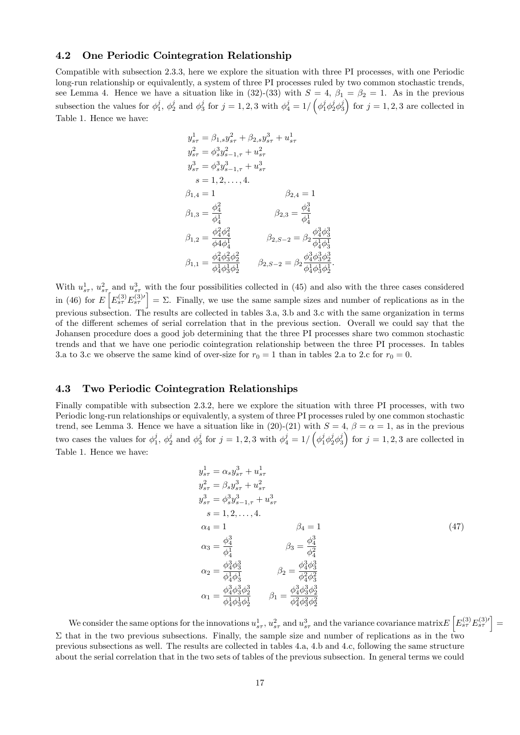### 4.2 One Periodic Cointegration Relationship

Compatible with subsection 2.3.3, here we explore the situation with three PI processes, with one Periodic long-run relationship or equivalently, a system of three PI processes ruled by two common stochastic trends, see Lemma 4. Hence we have a situation like in (32)-(33) with  $S = 4$ ,  $\beta_1 = \beta_2 = 1$ . As in the previous subsection the values for  $\phi_1^j$ ,  $\phi_2^j$  and  $\phi_3^j$  for  $j = 1, 2, 3$  with  $\phi_4^j = 1/\left(\phi_1^j \phi_2^j \phi_3^j\right)$  for  $j = 1, 2, 3$  are collected in Table 1. Hence we have:

$$
y_{s\tau}^{1} = \beta_{1,s} y_{s\tau}^{2} + \beta_{2,s} y_{s\tau}^{3} + u_{s\tau}^{1}
$$
  
\n
$$
y_{s\tau}^{2} = \phi_{s}^{3} y_{s-1,\tau}^{2} + u_{s\tau}^{2}
$$
  
\n
$$
y_{s\tau}^{3} = \phi_{s}^{3} y_{s-1,\tau}^{3} + u_{s\tau}^{3}
$$
  
\n
$$
s = 1, 2, ..., 4.
$$
  
\n
$$
\beta_{1,4} = 1
$$
  
\n
$$
\beta_{1,3} = \frac{\phi_{4}^{2}}{\phi_{4}^{1}}
$$
  
\n
$$
\beta_{1,2} = \frac{\phi_{4}^{2} \phi_{4}^{2}}{\phi_{4} \phi_{4}^{1}}
$$
  
\n
$$
\beta_{2,3} = \frac{\phi_{4}^{3}}{\phi_{4}^{1}}
$$
  
\n
$$
\beta_{1,4} = \frac{\phi_{4}^{2} \phi_{3}^{2}}{\phi_{4}^{2} \phi_{4}^{2}}
$$
  
\n
$$
\beta_{2,5-2} = \beta_{2} \frac{\phi_{4}^{3} \phi_{3}^{3}}{\phi_{4}^{1} \phi_{3}^{1}}
$$
  
\n
$$
\beta_{1,1} = \frac{\phi_{4}^{2} \phi_{3}^{2} \phi_{2}^{2}}{\phi_{4}^{1} \phi_{4}^{1} \phi_{3}^{1} \phi_{2}^{1}}
$$
  
\n
$$
\beta_{2,5-2} = \beta_{2} \frac{\phi_{4}^{3} \phi_{3}^{3} \phi_{2}^{3}}{\phi_{4}^{1} \phi_{3}^{1} \phi_{2}^{1}}
$$

With  $u_{s\tau}^1$ ,  $u_{s\tau}^2$  and  $u_{s\tau}^3$  with the four possibilities collected in (45) and also with the three cases considered in (46) for  $E\left[E_{s\tau}^{(3)}E_{s\tau}^{(3)\prime}\right]=\Sigma$ . Finally, we use the same sample sizes and number of replications as in the previous subsection. The results are collected in tables 3.a, 3.b and 3.c with the same organization in terms of the different schemes of serial correlation that in the previous section. Overall we could say that the Johansen procedure does a good job determining that the three PI processes share two common stochastic trends and that we have one periodic cointegration relationship between the three PI processes. In tables 3.a to 3.c we observe the same kind of over-size for  $r_0 = 1$  than in tables 2.a to 2.c for  $r_0 = 0$ .

## 4.3 Two Periodic Cointegration Relationships

Finally compatible with subsection 2.3.2, here we explore the situation with three PI processes, with two Periodic long-run relationships or equivalently, a system of three PI processes ruled by one common stochastic trend, see Lemma 3. Hence we have a situation like in (20)-(21) with  $S = 4$ ,  $\beta = \alpha = 1$ , as in the previous two cases the values for  $\phi_1^j$ ,  $\phi_2^j$  and  $\phi_3^j$  for  $j = 1, 2, 3$  with  $\phi_4^j = 1/\left(\phi_1^j \phi_2^j \phi_3^j\right)$  for  $j = 1, 2, 3$  are collected in Table 1. Hence we have:

$$
y_{s\tau}^{1} = \alpha_{s} y_{s\tau}^{3} + u_{s\tau}^{1}
$$
  
\n
$$
y_{s\tau}^{2} = \beta_{s} y_{s\tau}^{3} + u_{s\tau}^{2}
$$
  
\n
$$
y_{s\tau}^{3} = \phi_{s}^{3} y_{s-1,\tau}^{3} + u_{s\tau}^{3}
$$
  
\n
$$
s = 1, 2, ..., 4.
$$
  
\n
$$
\alpha_{4} = 1 \qquad \beta_{4} = 1
$$
  
\n
$$
\alpha_{3} = \frac{\phi_{4}^{3}}{\phi_{4}^{1}}
$$
  
\n
$$
\beta_{4} = 1 \qquad \beta_{4} = 1
$$
  
\n
$$
\alpha_{5} = \frac{\phi_{4}^{3}}{\phi_{4}^{1}}
$$
  
\n
$$
\beta_{6} = \frac{\phi_{4}^{3}}{\phi_{4}^{2}}
$$
  
\n
$$
\alpha_{7} = \frac{\phi_{4}^{3} \phi_{3}^{3} \phi_{2}^{3}}{\phi_{4}^{1} \phi_{3}^{1}}
$$
  
\n
$$
\beta_{1} = \frac{\phi_{4}^{3} \phi_{3}^{3} \phi_{2}^{3}}{\phi_{4}^{2} \phi_{3}^{2} \phi_{2}^{2}}
$$
  
\n
$$
\beta_{1} = \frac{\phi_{4}^{3} \phi_{3}^{3} \phi_{2}^{3}}{\phi_{4}^{2} \phi_{3}^{2} \phi_{2}^{2}}
$$
  
\n
$$
\beta_{1} = \frac{\phi_{4}^{3} \phi_{3}^{3} \phi_{2}^{3}}{\phi_{4}^{2} \phi_{3}^{2} \phi_{2}^{2}}
$$

:

We consider the same options for the innovations  $u_{s\tau}^1$ ,  $u_{s\tau}^2$  and  $u_{s\tau}^3$  and the variance covariance matrix  $E\left[E_{s\tau}^{(3)}E_{s\tau}^{(3)\prime}\right]=$  $\Sigma$  that in the two previous subsections. Finally, the sample size and number of replications as in the two previous subsections as well. The results are collected in tables 4.a, 4.b and 4.c, following the same structure about the serial correlation that in the two sets of tables of the previous subsection. In general terms we could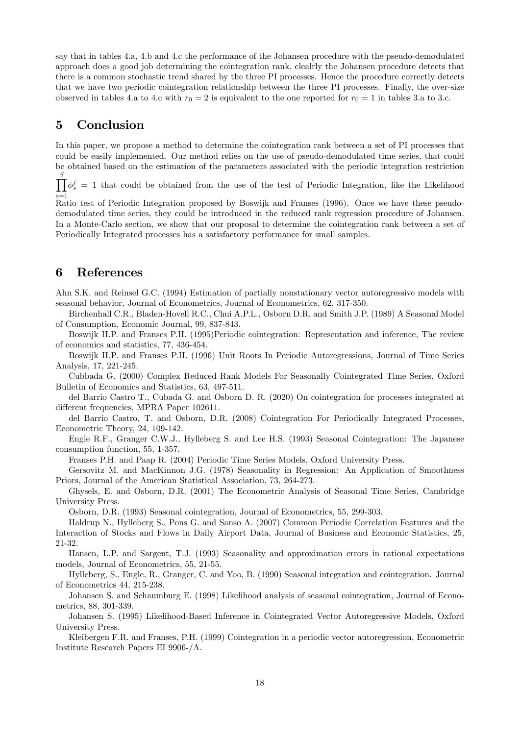say that in tables 4.a, 4.b and 4.c the performance of the Johansen procedure with the pseudo-demodulated approach does a good job determining the cointegration rank, clealrly the Johansen procedure detects that there is a common stochastic trend shared by the three PI processes. Hence the procedure correctly detects that we have two periodic cointegration relationship between the three PI processes. Finally, the over-size observed in tables 4.a to 4.c with  $r_0 = 2$  is equivalent to the one reported for  $r_0 = 1$  in tables 3.a to 3.c.

## 5 Conclusion

In this paper, we propose a method to determine the cointegration rank between a set of PI processes that could be easily implemented. Our method relies on the use of pseudo-demodulated time series, that could be obtained based on the estimation of the parameters associated with the periodic integration restriction

 $\prod_i \phi_s^j = 1$  that could be obtained from the use of the test of Periodic Integration, like the Likelihood S  $s=1$ 

Ratio test of Periodic Integration proposed by Boswijk and Franses (1996). Once we have these pseudodemodulated time series, they could be introduced in the reduced rank regression procedure of Johansen. In a Monte-Carlo section, we show that our proposal to determine the cointegration rank between a set of Periodically Integrated processes has a satisfactory performance for small samples.

## 6 References

Ahn S.K. and Reinsel G.C. (1994) Estimation of partially nonstationary vector autoregressive models with seasonal behavior, Journal of Econometrics, Journal of Econometrics, 62, 317-350.

Birchenhall C.R., Bladen-Hovell R.C., Chui A.P.L., Osborn D.R. and Smith J.P. (1989) A Seasonal Model of Consumption, Economic Journal, 99, 837-843.

Boswijk H.P. and Franses P.H. (1995)Periodic cointegration: Representation and inference, The review of economics and statistics, 77, 436-454.

Boswijk H.P. and Franses P.H. (1996) Unit Roots In Periodic Autoregressions, Journal of Time Series Analysis, 17, 221-245.

Cubbada G. (2000) Complex Reduced Rank Models For Seasonally Cointegrated Time Series, Oxford Bulletin of Economics and Statistics, 63, 497-511.

del Barrio Castro T., Cubada G. and Osborn D. R. (2020) On cointegration for processes integrated at different frequencies, MPRA Paper 102611.

del Barrio Castro, T. and Osborn, D.R. (2008) Cointegration For Periodically Integrated Processes, Econometric Theory, 24, 109-142.

Engle R.F., Granger C.W.J., Hylleberg S. and Lee H.S. (1993) Seasonal Cointegration: The Japanese consumption function, 55, 1-357.

Franses P.H. and Paap R. (2004) Periodic Time Series Models, Oxford University Press.

Gersovitz M. and MacKinnon J.G. (1978) Seasonality in Regression: An Application of Smoothness Priors, Journal of the American Statistical Association, 73, 264-273.

Ghysels, E. and Osborn, D.R. (2001) The Econometric Analysis of Seasonal Time Series, Cambridge University Press.

Osborn, D.R. (1993) Seasonal cointegration, Journal of Econometrics, 55, 299-303.

Haldrup N., Hylleberg S., Pons G. and Sanso A. (2007) Common Periodic Correlation Features and the Interaction of Stocks and Flows in Daily Airport Data, Journal of Business and Economic Statistics, 25, 21-32.

Hansen, L.P. and Sargent, T.J. (1993) Seasonality and approximation errors in rational expectations models, Journal of Econometrics, 55, 21-55.

Hylleberg, S., Engle, R., Granger, C. and Yoo, B. (1990) Seasonal integration and cointegration. Journal of Econometrics 44, 215-238.

Johansen S. and Schaumburg E. (1998) Likelihood analysis of seasonal cointegration, Journal of Econometrics, 88, 301-339.

Johansen S. (1995) Likelihood-Based Inference in Cointegrated Vector Autoregressive Models, Oxford University Press.

Kleibergen F.R. and Franses, P.H. (1999) Cointegration in a periodic vector autoregression, Econometric Institute Research Papers EI 9906-/A.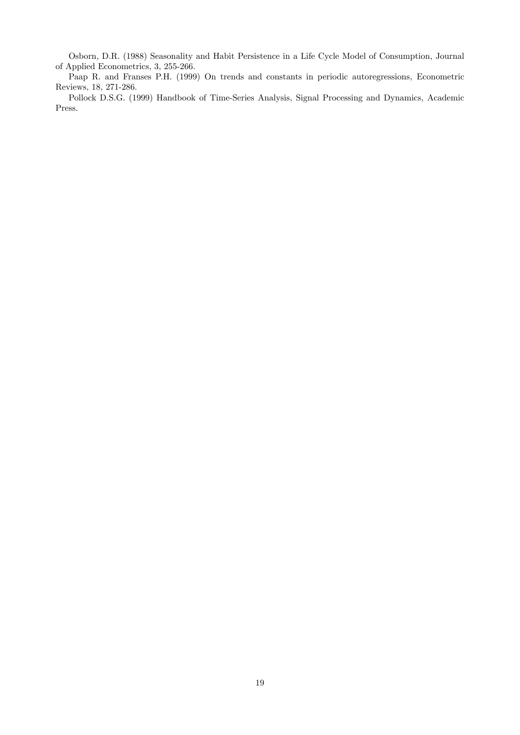Osborn, D.R. (1988) Seasonality and Habit Persistence in a Life Cycle Model of Consumption, Journal of Applied Econometrics, 3, 255-266.

Paap R. and Franses P.H. (1999) On trends and constants in periodic autoregressions, Econometric Reviews, 18, 271-286.

Pollock D.S.G. (1999) Handbook of Time-Series Analysis, Signal Processing and Dynamics, Academic Press.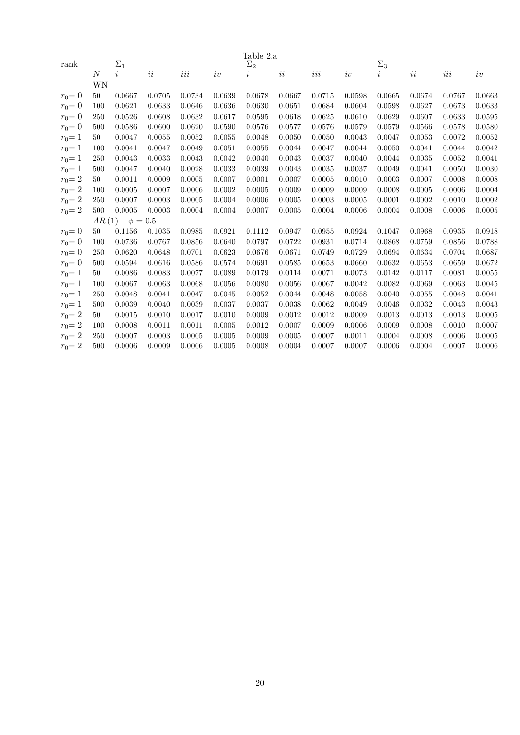| rank      |       | $\Sigma_1$   |        |        |        | Table 2.a<br>$\Sigma_2$ |          |         |        | $\Sigma_3$     |        |        |        |
|-----------|-------|--------------|--------|--------|--------|-------------------------|----------|---------|--------|----------------|--------|--------|--------|
|           | N     | $\dot{i}$    | ii     | $iii$  | iv     | $\dot{\imath}$          | $\it ii$ | $iii\,$ | iv     | $\dot{\imath}$ | ii     | $iii$  | iv     |
|           | WΝ    |              |        |        |        |                         |          |         |        |                |        |        |        |
| $r_0 = 0$ | 50    | 0.0667       | 0.0705 | 0.0734 | 0.0639 | 0.0678                  | 0.0667   | 0.0715  | 0.0598 | 0.0665         | 0.0674 | 0.0767 | 0.0663 |
| $r_0 = 0$ | 100   | 0.0621       | 0.0633 | 0.0646 | 0.0636 | 0.0630                  | 0.0651   | 0.0684  | 0.0604 | 0.0598         | 0.0627 | 0.0673 | 0.0633 |
| $r_0 = 0$ | 250   | 0.0526       | 0.0608 | 0.0632 | 0.0617 | 0.0595                  | 0.0618   | 0.0625  | 0.0610 | 0.0629         | 0.0607 | 0.0633 | 0.0595 |
| $r_0 = 0$ | 500   | 0.0586       | 0.0600 | 0.0620 | 0.0590 | 0.0576                  | 0.0577   | 0.0576  | 0.0579 | 0.0579         | 0.0566 | 0.0578 | 0.0580 |
| $r_0 = 1$ | 50    | 0.0047       | 0.0055 | 0.0052 | 0.0055 | 0.0048                  | 0.0050   | 0.0050  | 0.0043 | 0.0047         | 0.0053 | 0.0072 | 0.0052 |
| $r_0 = 1$ | 100   | 0.0041       | 0.0047 | 0.0049 | 0.0051 | 0.0055                  | 0.0044   | 0.0047  | 0.0044 | 0.0050         | 0.0041 | 0.0044 | 0.0042 |
| $r_0 = 1$ | 250   | 0.0043       | 0.0033 | 0.0043 | 0.0042 | 0.0040                  | 0.0043   | 0.0037  | 0.0040 | 0.0044         | 0.0035 | 0.0052 | 0.0041 |
| $r_0 = 1$ | 500   | 0.0047       | 0.0040 | 0.0028 | 0.0033 | 0.0039                  | 0.0043   | 0.0035  | 0.0037 | 0.0049         | 0.0041 | 0.0050 | 0.0030 |
| $r_0 = 2$ | 50    | 0.0011       | 0.0009 | 0.0005 | 0.0007 | 0.0001                  | 0.0007   | 0.0005  | 0.0010 | 0.0003         | 0.0007 | 0.0008 | 0.0008 |
| $r_0 = 2$ | 100   | 0.0005       | 0.0007 | 0.0006 | 0.0002 | 0.0005                  | 0.0009   | 0.0009  | 0.0009 | 0.0008         | 0.0005 | 0.0006 | 0.0004 |
| $r_0 = 2$ | 250   | 0.0007       | 0.0003 | 0.0005 | 0.0004 | 0.0006                  | 0.0005   | 0.0003  | 0.0005 | 0.0001         | 0.0002 | 0.0010 | 0.0002 |
| $r_0 = 2$ | 500   | 0.0005       | 0.0003 | 0.0004 | 0.0004 | 0.0007                  | 0.0005   | 0.0004  | 0.0006 | 0.0004         | 0.0008 | 0.0006 | 0.0005 |
|           | AR(1) | $\phi = 0.5$ |        |        |        |                         |          |         |        |                |        |        |        |
| $r_0 = 0$ | 50    | 0.1156       | 0.1035 | 0.0985 | 0.0921 | 0.1112                  | 0.0947   | 0.0955  | 0.0924 | 0.1047         | 0.0968 | 0.0935 | 0.0918 |
| $r_0 = 0$ | 100   | 0.0736       | 0.0767 | 0.0856 | 0.0640 | 0.0797                  | 0.0722   | 0.0931  | 0.0714 | 0.0868         | 0.0759 | 0.0856 | 0.0788 |
| $r_0 = 0$ | 250   | 0.0620       | 0.0648 | 0.0701 | 0.0623 | 0.0676                  | 0.0671   | 0.0749  | 0.0729 | 0.0694         | 0.0634 | 0.0704 | 0.0687 |
| $r_0 = 0$ | 500   | 0.0594       | 0.0616 | 0.0586 | 0.0574 | 0.0691                  | 0.0585   | 0.0653  | 0.0660 | 0.0632         | 0.0653 | 0.0659 | 0.0672 |
| $r_0 = 1$ | 50    | 0.0086       | 0.0083 | 0.0077 | 0.0089 | 0.0179                  | 0.0114   | 0.0071  | 0.0073 | 0.0142         | 0.0117 | 0.0081 | 0.0055 |
| $r_0 = 1$ | 100   | 0.0067       | 0.0063 | 0.0068 | 0.0056 | 0.0080                  | 0.0056   | 0.0067  | 0.0042 | 0.0082         | 0.0069 | 0.0063 | 0.0045 |
| $r_0 = 1$ | 250   | 0.0048       | 0.0041 | 0.0047 | 0.0045 | 0.0052                  | 0.0044   | 0.0048  | 0.0058 | 0.0040         | 0.0055 | 0.0048 | 0.0041 |
| $r_0 = 1$ | 500   | 0.0039       | 0.0040 | 0.0039 | 0.0037 | 0.0037                  | 0.0038   | 0.0062  | 0.0049 | 0.0046         | 0.0032 | 0.0043 | 0.0043 |
| $r_0 = 2$ | 50    | 0.0015       | 0.0010 | 0.0017 | 0.0010 | 0.0009                  | 0.0012   | 0.0012  | 0.0009 | 0.0013         | 0.0013 | 0.0013 | 0.0005 |
| $r_0 = 2$ | 100   | 0.0008       | 0.0011 | 0.0011 | 0.0005 | 0.0012                  | 0.0007   | 0.0009  | 0.0006 | 0.0009         | 0.0008 | 0.0010 | 0.0007 |
| $r_0 = 2$ | 250   | 0.0007       | 0.0003 | 0.0005 | 0.0005 | 0.0009                  | 0.0005   | 0.0007  | 0.0011 | 0.0004         | 0.0008 | 0.0006 | 0.0005 |
| $r_0 = 2$ | 500   | 0.0006       | 0.0009 | 0.0006 | 0.0005 | 0.0008                  | 0.0004   | 0.0007  | 0.0007 | 0.0006         | 0.0004 | 0.0007 | 0.0006 |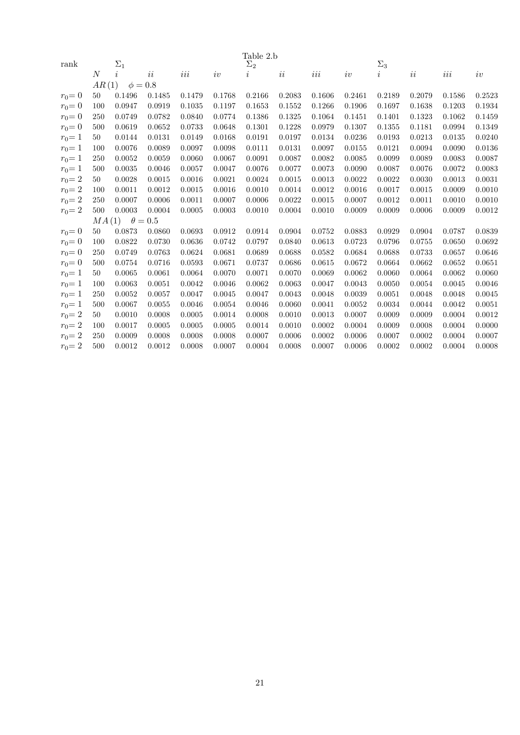|           |                |              |                |         |        | Table 2.b  |        |         |        |            |        |         |        |
|-----------|----------------|--------------|----------------|---------|--------|------------|--------|---------|--------|------------|--------|---------|--------|
| rank      |                | $\Sigma_1$   |                |         |        | $\Sigma_2$ |        |         |        | $\Sigma_3$ |        |         |        |
|           | $\overline{N}$ | $\dot{i}$    | ii             | $iii\,$ | iv     | $\imath$   | ii     | $iii\,$ | iv     | i          | ii     | $iii\,$ | iv     |
|           | AR(1)          | $\phi = 0.8$ |                |         |        |            |        |         |        |            |        |         |        |
| $r_0 = 0$ | 50             | 0.1496       | 0.1485         | 0.1479  | 0.1768 | 0.2166     | 0.2083 | 0.1606  | 0.2461 | 0.2189     | 0.2079 | 0.1586  | 0.2523 |
| $r_0 = 0$ | 100            | 0.0947       | 0.0919         | 0.1035  | 0.1197 | 0.1653     | 0.1552 | 0.1266  | 0.1906 | 0.1697     | 0.1638 | 0.1203  | 0.1934 |
| $r_0 = 0$ | 250            | 0.0749       | 0.0782         | 0.0840  | 0.0774 | 0.1386     | 0.1325 | 0.1064  | 0.1451 | 0.1401     | 0.1323 | 0.1062  | 0.1459 |
| $r_0 = 0$ | 500            | 0.0619       | 0.0652         | 0.0733  | 0.0648 | 0.1301     | 0.1228 | 0.0979  | 0.1307 | 0.1355     | 0.1181 | 0.0994  | 0.1349 |
| $r_0 = 1$ | 50             | 0.0144       | 0.0131         | 0.0149  | 0.0168 | 0.0191     | 0.0197 | 0.0134  | 0.0236 | 0.0193     | 0.0213 | 0.0135  | 0.0240 |
| $r_0 = 1$ | 100            | 0.0076       | 0.0089         | 0.0097  | 0.0098 | 0.0111     | 0.0131 | 0.0097  | 0.0155 | 0.0121     | 0.0094 | 0.0090  | 0.0136 |
| $r_0 = 1$ | 250            | 0.0052       | 0.0059         | 0.0060  | 0.0067 | 0.0091     | 0.0087 | 0.0082  | 0.0085 | 0.0099     | 0.0089 | 0.0083  | 0.0087 |
| $r_0 = 1$ | 500            | 0.0035       | 0.0046         | 0.0057  | 0.0047 | 0.0076     | 0.0077 | 0.0073  | 0.0090 | 0.0087     | 0.0076 | 0.0072  | 0.0083 |
| $r_0 = 2$ | 50             | 0.0028       | 0.0015         | 0.0016  | 0.0021 | 0.0024     | 0.0015 | 0.0013  | 0.0022 | 0.0022     | 0.0030 | 0.0013  | 0.0031 |
| $r_0 = 2$ | 100            | 0.0011       | 0.0012         | 0.0015  | 0.0016 | 0.0010     | 0.0014 | 0.0012  | 0.0016 | 0.0017     | 0.0015 | 0.0009  | 0.0010 |
| $r_0 = 2$ | 250            | 0.0007       | 0.0006         | 0.0011  | 0.0007 | 0.0006     | 0.0022 | 0.0015  | 0.0007 | 0.0012     | 0.0011 | 0.0010  | 0.0010 |
| $r_0 = 2$ | 500            | 0.0003       | 0.0004         | 0.0005  | 0.0003 | 0.0010     | 0.0004 | 0.0010  | 0.0009 | 0.0009     | 0.0006 | 0.0009  | 0.0012 |
|           | MA(1)          |              | $\theta = 0.5$ |         |        |            |        |         |        |            |        |         |        |
| $r_0 = 0$ | 50             | 0.0873       | 0.0860         | 0.0693  | 0.0912 | 0.0914     | 0.0904 | 0.0752  | 0.0883 | 0.0929     | 0.0904 | 0.0787  | 0.0839 |
| $r_0 = 0$ | 100            | 0.0822       | 0.0730         | 0.0636  | 0.0742 | 0.0797     | 0.0840 | 0.0613  | 0.0723 | 0.0796     | 0.0755 | 0.0650  | 0.0692 |
| $r_0 = 0$ | 250            | 0.0749       | 0.0763         | 0.0624  | 0.0681 | 0.0689     | 0.0688 | 0.0582  | 0.0684 | 0.0688     | 0.0733 | 0.0657  | 0.0646 |
| $r_0 = 0$ | 500            | 0.0754       | 0.0716         | 0.0593  | 0.0671 | 0.0737     | 0.0686 | 0.0615  | 0.0672 | 0.0664     | 0.0662 | 0.0652  | 0.0651 |
| $r_0 = 1$ | 50             | 0.0065       | 0.0061         | 0.0064  | 0.0070 | 0.0071     | 0.0070 | 0.0069  | 0.0062 | 0.0060     | 0.0064 | 0.0062  | 0.0060 |
| $r_0 = 1$ | 100            | 0.0063       | 0.0051         | 0.0042  | 0.0046 | 0.0062     | 0.0063 | 0.0047  | 0.0043 | 0.0050     | 0.0054 | 0.0045  | 0.0046 |
| $r_0 = 1$ | 250            | 0.0052       | 0.0057         | 0.0047  | 0.0045 | 0.0047     | 0.0043 | 0.0048  | 0.0039 | 0.0051     | 0.0048 | 0.0048  | 0.0045 |
| $r_0 = 1$ | 500            | 0.0067       | 0.0055         | 0.0046  | 0.0054 | 0.0046     | 0.0060 | 0.0041  | 0.0052 | 0.0034     | 0.0044 | 0.0042  | 0.0051 |
| $r_0 = 2$ | 50             | 0.0010       | 0.0008         | 0.0005  | 0.0014 | 0.0008     | 0.0010 | 0.0013  | 0.0007 | 0.0009     | 0.0009 | 0.0004  | 0.0012 |
| $r_0 = 2$ | 100            | 0.0017       | 0.0005         | 0.0005  | 0.0005 | 0.0014     | 0.0010 | 0.0002  | 0.0004 | 0.0009     | 0.0008 | 0.0004  | 0.0000 |
| $r_0 = 2$ | 250            | 0.0009       | 0.0008         | 0.0008  | 0.0008 | 0.0007     | 0.0006 | 0.0002  | 0.0006 | 0.0007     | 0.0002 | 0.0004  | 0.0007 |
| $r_0 = 2$ | 500            | 0.0012       | 0.0012         | 0.0008  | 0.0007 | 0.0004     | 0.0008 | 0.0007  | 0.0006 | 0.0002     | 0.0002 | 0.0004  | 0.0008 |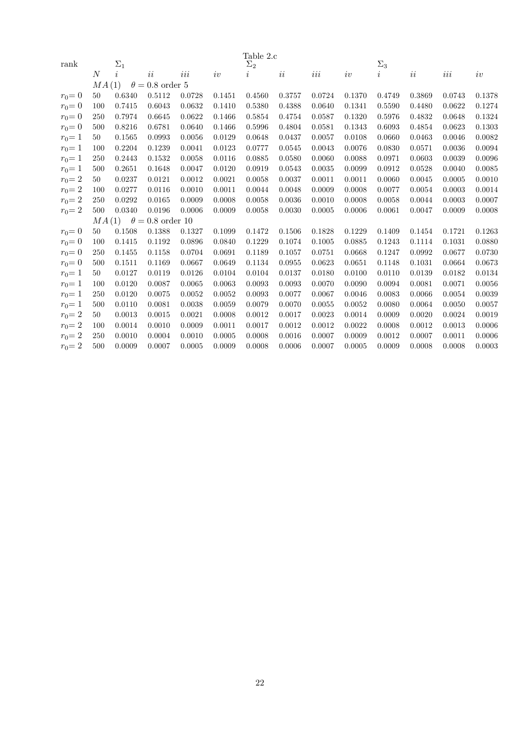| rank      |                | $\Sigma_1$ |                         |        |        | Table 2.c<br>$\Sigma_2$ |        |        |        | $\Sigma_3$          |        |        |        |
|-----------|----------------|------------|-------------------------|--------|--------|-------------------------|--------|--------|--------|---------------------|--------|--------|--------|
|           | $\overline{N}$ | $\dot{i}$  | ii                      | iii    |        |                         |        |        |        |                     |        |        |        |
|           | MA(1)          |            | $\theta = 0.8$ order 5  |        | iv     | $\imath$                | ii     | $iii$  | iv     | $\overline{\imath}$ | ii     | $iii$  | iv     |
|           | 50             | 0.6340     | 0.5112                  | 0.0728 | 0.1451 | 0.4560                  | 0.3757 | 0.0724 | 0.1370 | 0.4749              | 0.3869 | 0.0743 | 0.1378 |
| $r_0 = 0$ |                |            |                         |        |        |                         |        |        |        |                     |        |        |        |
| $r_0 = 0$ | 100            | 0.7415     | 0.6043                  | 0.0632 | 0.1410 | 0.5380                  | 0.4388 | 0.0640 | 0.1341 | 0.5590              | 0.4480 | 0.0622 | 0.1274 |
| $r_0 = 0$ | 250            | 0.7974     | 0.6645                  | 0.0622 | 0.1466 | 0.5854                  | 0.4754 | 0.0587 | 0.1320 | 0.5976              | 0.4832 | 0.0648 | 0.1324 |
| $r_0 = 0$ | 500            | 0.8216     | 0.6781                  | 0.0640 | 0.1466 | 0.5996                  | 0.4804 | 0.0581 | 0.1343 | 0.6093              | 0.4854 | 0.0623 | 0.1303 |
| $r_0 = 1$ | 50             | 0.1565     | 0.0993                  | 0.0056 | 0.0129 | 0.0648                  | 0.0437 | 0.0057 | 0.0108 | 0.0660              | 0.0463 | 0.0046 | 0.0082 |
| $r_0 = 1$ | 100            | 0.2204     | 0.1239                  | 0.0041 | 0.0123 | 0.0777                  | 0.0545 | 0.0043 | 0.0076 | 0.0830              | 0.0571 | 0.0036 | 0.0094 |
| $r_0 = 1$ | 250            | 0.2443     | 0.1532                  | 0.0058 | 0.0116 | 0.0885                  | 0.0580 | 0.0060 | 0.0088 | 0.0971              | 0.0603 | 0.0039 | 0.0096 |
| $r_0 = 1$ | 500            | 0.2651     | 0.1648                  | 0.0047 | 0.0120 | 0.0919                  | 0.0543 | 0.0035 | 0.0099 | 0.0912              | 0.0528 | 0.0040 | 0.0085 |
| $r_0 = 2$ | 50             | 0.0237     | 0.0121                  | 0.0012 | 0.0021 | 0.0058                  | 0.0037 | 0.0011 | 0.0011 | 0.0060              | 0.0045 | 0.0005 | 0.0010 |
| $r_0 = 2$ | 100            | 0.0277     | 0.0116                  | 0.0010 | 0.0011 | 0.0044                  | 0.0048 | 0.0009 | 0.0008 | 0.0077              | 0.0054 | 0.0003 | 0.0014 |
| $r_0 = 2$ | 250            | 0.0292     | 0.0165                  | 0.0009 | 0.0008 | 0.0058                  | 0.0036 | 0.0010 | 0.0008 | 0.0058              | 0.0044 | 0.0003 | 0.0007 |
| $r_0 = 2$ | 500            | 0.0340     | 0.0196                  | 0.0006 | 0.0009 | 0.0058                  | 0.0030 | 0.0005 | 0.0006 | 0.0061              | 0.0047 | 0.0009 | 0.0008 |
|           | MA(1)          |            | $\theta = 0.8$ order 10 |        |        |                         |        |        |        |                     |        |        |        |
| $r_0 = 0$ | 50             | 0.1508     | 0.1388                  | 0.1327 | 0.1099 | 0.1472                  | 0.1506 | 0.1828 | 0.1229 | 0.1409              | 0.1454 | 0.1721 | 0.1263 |
| $r_0 = 0$ | 100            | 0.1415     | 0.1192                  | 0.0896 | 0.0840 | 0.1229                  | 0.1074 | 0.1005 | 0.0885 | 0.1243              | 0.1114 | 0.1031 | 0.0880 |
| $r_0 = 0$ | 250            | 0.1455     | 0.1158                  | 0.0704 | 0.0691 | 0.1189                  | 0.1057 | 0.0751 | 0.0668 | 0.1247              | 0.0992 | 0.0677 | 0.0730 |
| $r_0 = 0$ | 500            | 0.1511     | 0.1169                  | 0.0667 | 0.0649 | 0.1134                  | 0.0955 | 0.0623 | 0.0651 | 0.1148              | 0.1031 | 0.0664 | 0.0673 |
| $r_0 = 1$ | 50             | 0.0127     | 0.0119                  | 0.0126 | 0.0104 | 0.0104                  | 0.0137 | 0.0180 | 0.0100 | 0.0110              | 0.0139 | 0.0182 | 0.0134 |
| $r_0 = 1$ | 100            | 0.0120     | 0.0087                  | 0.0065 | 0.0063 | 0.0093                  | 0.0093 | 0.0070 | 0.0090 | 0.0094              | 0.0081 | 0.0071 | 0.0056 |
| $r_0 = 1$ | 250            | 0.0120     | 0.0075                  | 0.0052 | 0.0052 | 0.0093                  | 0.0077 | 0.0067 | 0.0046 | 0.0083              | 0.0066 | 0.0054 | 0.0039 |
| $r_0 = 1$ | 500            | 0.0110     | 0.0081                  | 0.0038 | 0.0059 | 0.0079                  | 0.0070 | 0.0055 | 0.0052 | 0.0080              | 0.0064 | 0.0050 | 0.0057 |
| $r_0 = 2$ | 50             | 0.0013     | 0.0015                  | 0.0021 | 0.0008 | 0.0012                  | 0.0017 | 0.0023 | 0.0014 | 0.0009              | 0.0020 | 0.0024 | 0.0019 |
| $r_0 = 2$ | 100            | 0.0014     | 0.0010                  | 0.0009 | 0.0011 | 0.0017                  | 0.0012 | 0.0012 | 0.0022 | 0.0008              | 0.0012 | 0.0013 | 0.0006 |
| $r_0 = 2$ | 250            | 0.0010     | 0.0004                  | 0.0010 | 0.0005 | 0.0008                  | 0.0016 | 0.0007 | 0.0009 | 0.0012              | 0.0007 | 0.0011 | 0.0006 |
| $r_0 = 2$ | 500            | 0.0009     | 0.0007                  | 0.0005 | 0.0009 | 0.0008                  | 0.0006 | 0.0007 | 0.0005 | 0.0009              | 0.0008 | 0.0008 | 0.0003 |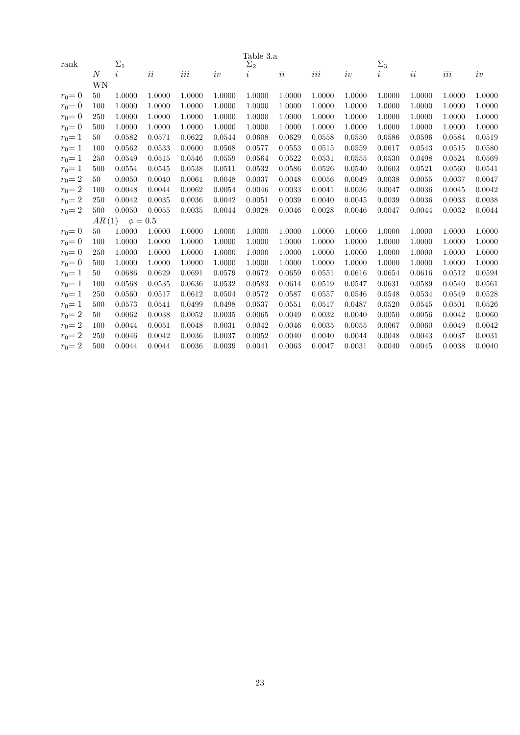|           | Table 3.a |                |          |        |        |            |        |         |        |                     |        |        |        |
|-----------|-----------|----------------|----------|--------|--------|------------|--------|---------|--------|---------------------|--------|--------|--------|
| rank      |           | $\Sigma_1$     |          |        |        | $\Sigma_2$ |        |         |        | $\Sigma_3$          |        |        |        |
|           | N         | $\dot{\imath}$ | $\it ii$ | iii    | iv     | $\imath$   | ii     | $iii\,$ | iv     | $\overline{\imath}$ | ii     | iii    | iv     |
|           | WΝ        |                |          |        |        |            |        |         |        |                     |        |        |        |
| $r_0 = 0$ | 50        | 1.0000         | 1.0000   | 1.0000 | 1.0000 | 1.0000     | 1.0000 | 1.0000  | 1.0000 | 1.0000              | 1.0000 | 1.0000 | 1.0000 |
| $r_0 = 0$ | 100       | 1.0000         | 1.0000   | 1.0000 | 1.0000 | 1.0000     | 1.0000 | 1.0000  | 1.0000 | 1.0000              | 1.0000 | 1.0000 | 1.0000 |
| $r_0 = 0$ | 250       | 1.0000         | 1.0000   | 1.0000 | 1.0000 | 1.0000     | 1.0000 | 1.0000  | 1.0000 | 1.0000              | 1.0000 | 1.0000 | 1.0000 |
| $r_0 = 0$ | 500       | 1.0000         | 1.0000   | 1.0000 | 1.0000 | 1.0000     | 1.0000 | 1.0000  | 1.0000 | 1.0000              | 1.0000 | 1.0000 | 1.0000 |
| $r_0 = 1$ | 50        | 0.0582         | 0.0571   | 0.0622 | 0.0544 | 0.0608     | 0.0629 | 0.0558  | 0.0550 | 0.0586              | 0.0596 | 0.0584 | 0.0519 |
| $r_0 = 1$ | 100       | 0.0562         | 0.0533   | 0.0600 | 0.0568 | 0.0577     | 0.0553 | 0.0515  | 0.0559 | 0.0617              | 0.0543 | 0.0515 | 0.0580 |
| $r_0 = 1$ | 250       | 0.0549         | 0.0515   | 0.0546 | 0.0559 | 0.0564     | 0.0522 | 0.0531  | 0.0555 | 0.0530              | 0.0498 | 0.0524 | 0.0569 |
| $r_0 = 1$ | 500       | 0.0554         | 0.0545   | 0.0538 | 0.0511 | 0.0532     | 0.0586 | 0.0526  | 0.0540 | 0.0603              | 0.0521 | 0.0560 | 0.0541 |
| $r_0 = 2$ | 50        | 0.0050         | 0.0040   | 0.0061 | 0.0048 | 0.0037     | 0.0048 | 0.0056  | 0.0049 | 0.0038              | 0.0055 | 0.0037 | 0.0047 |
| $r_0 = 2$ | 100       | 0.0048         | 0.0044   | 0.0062 | 0.0054 | 0.0046     | 0.0033 | 0.0041  | 0.0036 | 0.0047              | 0.0036 | 0.0045 | 0.0042 |
| $r_0 = 2$ | 250       | 0.0042         | 0.0035   | 0.0036 | 0.0042 | 0.0051     | 0.0039 | 0.0040  | 0.0045 | 0.0039              | 0.0036 | 0.0033 | 0.0038 |
| $r_0 = 2$ | 500       | 0.0050         | 0.0055   | 0.0035 | 0.0044 | 0.0028     | 0.0046 | 0.0028  | 0.0046 | 0.0047              | 0.0044 | 0.0032 | 0.0044 |
|           | AR(1)     | $\phi=0.5$     |          |        |        |            |        |         |        |                     |        |        |        |
| $r_0 = 0$ | 50        | 1.0000         | 1.0000   | 1.0000 | 1.0000 | 1.0000     | 1.0000 | 1.0000  | 1.0000 | 1.0000              | 1.0000 | 1.0000 | 1.0000 |
| $r_0 = 0$ | 100       | 1.0000         | 1.0000   | 1.0000 | 1.0000 | 1.0000     | 1.0000 | 1.0000  | 1.0000 | 1.0000              | 1.0000 | 1.0000 | 1.0000 |
| $r_0 = 0$ | 250       | 1.0000         | 1.0000   | 1.0000 | 1.0000 | 1.0000     | 1.0000 | 1.0000  | 1.0000 | 1.0000              | 1.0000 | 1.0000 | 1.0000 |
| $r_0 = 0$ | 500       | 1.0000         | 1.0000   | 1.0000 | 1.0000 | 1.0000     | 1.0000 | 1.0000  | 1.0000 | 1.0000              | 1.0000 | 1.0000 | 1.0000 |
| $r_0 = 1$ | 50        | 0.0686         | 0.0629   | 0.0691 | 0.0579 | 0.0672     | 0.0659 | 0.0551  | 0.0616 | 0.0654              | 0.0616 | 0.0512 | 0.0594 |
| $r_0 = 1$ | 100       | 0.0568         | 0.0535   | 0.0636 | 0.0532 | 0.0583     | 0.0614 | 0.0519  | 0.0547 | 0.0631              | 0.0589 | 0.0540 | 0.0561 |
| $r_0 = 1$ | 250       | 0.0560         | 0.0517   | 0.0612 | 0.0504 | 0.0572     | 0.0587 | 0.0557  | 0.0546 | 0.0548              | 0.0534 | 0.0549 | 0.0528 |
| $r_0 = 1$ | 500       | 0.0573         | 0.0541   | 0.0499 | 0.0498 | 0.0537     | 0.0551 | 0.0517  | 0.0487 | 0.0520              | 0.0545 | 0.0501 | 0.0526 |
| $r_0 = 2$ | 50        | 0.0062         | 0.0038   | 0.0052 | 0.0035 | 0.0065     | 0.0049 | 0.0032  | 0.0040 | 0.0050              | 0.0056 | 0.0042 | 0.0060 |
| $r_0 = 2$ | 100       | 0.0044         | 0.0051   | 0.0048 | 0.0031 | 0.0042     | 0.0046 | 0.0035  | 0.0055 | 0.0067              | 0.0060 | 0.0049 | 0.0042 |
| $r_0 = 2$ | 250       | 0.0046         | 0.0042   | 0.0036 | 0.0037 | 0.0052     | 0.0040 | 0.0040  | 0.0044 | 0.0048              | 0.0043 | 0.0037 | 0.0031 |
| $r_0 = 2$ | 500       | 0.0044         | 0.0044   | 0.0036 | 0.0039 | 0.0041     | 0.0063 | 0.0047  | 0.0031 | 0.0040              | 0.0045 | 0.0038 | 0.0040 |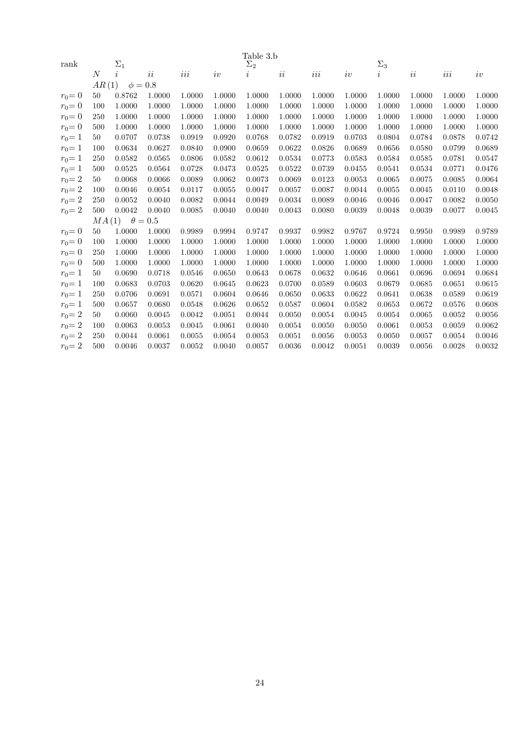|           |                |              |                |         |        | Table 3.b  |        |         |        |            |        |        |        |
|-----------|----------------|--------------|----------------|---------|--------|------------|--------|---------|--------|------------|--------|--------|--------|
| rank      |                | $\Sigma_1$   |                |         |        | $\Sigma_2$ |        |         |        | $\Sigma_3$ |        |        |        |
|           | $\overline{N}$ | i            | ii             | $iii\,$ | iv     | $\imath$   | ii     | $iii\,$ | iv     | $\imath$   | ii     | $iii$  | iv     |
|           | AR(1)          | $\phi = 0.8$ |                |         |        |            |        |         |        |            |        |        |        |
| $r_0 = 0$ | 50             | 0.8762       | 1.0000         | 1.0000  | 1.0000 | 1.0000     | 1.0000 | 1.0000  | 1.0000 | 1.0000     | 1.0000 | 1.0000 | 1.0000 |
| $r_0 = 0$ | 100            | 1.0000       | 1.0000         | 1.0000  | 1.0000 | 1.0000     | 1.0000 | 1.0000  | 1.0000 | 1.0000     | 1.0000 | 1.0000 | 1.0000 |
| $r_0 = 0$ | 250            | 1.0000       | 1.0000         | 1.0000  | 1.0000 | 1.0000     | 1.0000 | 1.0000  | 1.0000 | 1.0000     | 1.0000 | 1.0000 | 1.0000 |
| $r_0 = 0$ | 500            | 1.0000       | 1.0000         | 1.0000  | 1.0000 | 1.0000     | 1.0000 | 1.0000  | 1.0000 | 1.0000     | 1.0000 | 1.0000 | 1.0000 |
| $r_0 = 1$ | 50             | 0.0707       | 0.0738         | 0.0919  | 0.0920 | 0.0768     | 0.0782 | 0.0919  | 0.0703 | 0.0804     | 0.0784 | 0.0878 | 0.0742 |
| $r_0 = 1$ | 100            | 0.0634       | 0.0627         | 0.0840  | 0.0900 | 0.0659     | 0.0622 | 0.0826  | 0.0689 | 0.0656     | 0.0580 | 0.0799 | 0.0689 |
| $r_0 = 1$ | 250            | 0.0582       | 0.0565         | 0.0806  | 0.0582 | 0.0612     | 0.0534 | 0.0773  | 0.0583 | 0.0584     | 0.0585 | 0.0781 | 0.0547 |
| $r_0 = 1$ | 500            | 0.0525       | 0.0564         | 0.0728  | 0.0473 | 0.0525     | 0.0522 | 0.0739  | 0.0455 | 0.0541     | 0.0534 | 0.0771 | 0.0476 |
| $r_0 = 2$ | 50             | 0.0068       | 0.0066         | 0.0089  | 0.0062 | 0.0073     | 0.0069 | 0.0123  | 0.0053 | 0.0065     | 0.0075 | 0.0085 | 0.0064 |
| $r_0 = 2$ | 100            | 0.0046       | 0.0054         | 0.0117  | 0.0055 | 0.0047     | 0.0057 | 0.0087  | 0.0044 | 0.0055     | 0.0045 | 0.0110 | 0.0048 |
| $r_0 = 2$ | 250            | 0.0052       | 0.0040         | 0.0082  | 0.0044 | 0.0049     | 0.0034 | 0.0089  | 0.0046 | 0.0046     | 0.0047 | 0.0082 | 0.0050 |
| $r_0 = 2$ | 500            | 0.0042       | 0.0040         | 0.0085  | 0.0040 | 0.0040     | 0.0043 | 0.0080  | 0.0039 | 0.0048     | 0.0039 | 0.0077 | 0.0045 |
|           | MA(1)          |              | $\theta = 0.5$ |         |        |            |        |         |        |            |        |        |        |
| $r_0 = 0$ | 50             | 1.0000       | 1.0000         | 0.9989  | 0.9994 | 0.9747     | 0.9937 | 0.9982  | 0.9767 | 0.9724     | 0.9950 | 0.9989 | 0.9789 |
| $r_0 = 0$ | 100            | 1.0000       | 1.0000         | 1.0000  | 1.0000 | 1.0000     | 1.0000 | 1.0000  | 1.0000 | 1.0000     | 1.0000 | 1.0000 | 1.0000 |
| $r_0 = 0$ | 250            | 1.0000       | 1.0000         | 1.0000  | 1.0000 | 1.0000     | 1.0000 | 1.0000  | 1.0000 | 1.0000     | 1.0000 | 1.0000 | 1.0000 |
| $r_0 = 0$ | 500            | 1.0000       | 1.0000         | 1.0000  | 1.0000 | 1.0000     | 1.0000 | 1.0000  | 1.0000 | 1.0000     | 1.0000 | 1.0000 | 1.0000 |
| $r_0 = 1$ | 50             | 0.0690       | 0.0718         | 0.0546  | 0.0650 | 0.0643     | 0.0678 | 0.0632  | 0.0646 | 0.0661     | 0.0696 | 0.0694 | 0.0684 |
| $r_0 = 1$ | 100            | 0.0683       | 0.0703         | 0.0620  | 0.0645 | 0.0623     | 0.0700 | 0.0589  | 0.0603 | 0.0679     | 0.0685 | 0.0651 | 0.0615 |
| $r_0 = 1$ | 250            | 0.0706       | 0.0691         | 0.0571  | 0.0604 | 0.0646     | 0.0650 | 0.0633  | 0.0622 | 0.0641     | 0.0638 | 0.0589 | 0.0619 |
| $r_0 = 1$ | 500            | 0.0657       | 0.0680         | 0.0548  | 0.0626 | 0.0652     | 0.0587 | 0.0604  | 0.0582 | 0.0653     | 0.0672 | 0.0576 | 0.0608 |
| $r_0 = 2$ | 50             | 0.0060       | 0.0045         | 0.0042  | 0.0051 | 0.0044     | 0.0050 | 0.0054  | 0.0045 | 0.0054     | 0.0065 | 0.0052 | 0.0056 |
| $r_0 = 2$ | 100            | 0.0063       | 0.0053         | 0.0045  | 0.0061 | 0.0040     | 0.0054 | 0.0050  | 0.0050 | 0.0061     | 0.0053 | 0.0059 | 0.0062 |
| $r_0 = 2$ | 250            | 0.0044       | 0.0061         | 0.0055  | 0.0054 | 0.0053     | 0.0051 | 0.0056  | 0.0053 | 0.0050     | 0.0057 | 0.0054 | 0.0046 |
| $r_0 = 2$ | 500            | 0.0046       | 0.0037         | 0.0052  | 0.0040 | 0.0057     | 0.0036 | 0.0042  | 0.0051 | 0.0039     | 0.0056 | 0.0028 | 0.0032 |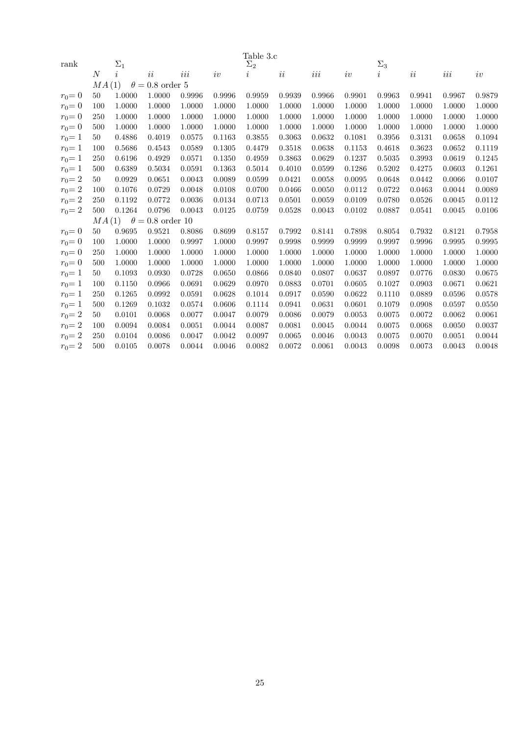|           |                |            |                        |        |        | Table 3.c  |        |        |        |                     |        |        |        |
|-----------|----------------|------------|------------------------|--------|--------|------------|--------|--------|--------|---------------------|--------|--------|--------|
| rank      |                | $\Sigma_1$ |                        |        |        | $\Sigma_2$ |        |        |        | $\Sigma_3$          |        |        |        |
|           | $\overline{N}$ | $\dot{i}$  | ii                     | iii    | iv     | $\imath$   | ii     | $iii$  | iv     | $\overline{\imath}$ | ii     | $iii$  | iv     |
|           | MA(1)          |            | $\theta = 0.8$ order 5 |        |        |            |        |        |        |                     |        |        |        |
| $r_0 = 0$ | 50             | 1.0000     | 1.0000                 | 0.9996 | 0.9996 | 0.9959     | 0.9939 | 0.9966 | 0.9901 | 0.9963              | 0.9941 | 0.9967 | 0.9879 |
| $r_0 = 0$ | 100            | 1.0000     | 1.0000                 | 1.0000 | 1.0000 | 1.0000     | 1.0000 | 1.0000 | 1.0000 | 1.0000              | 1.0000 | 1.0000 | 1.0000 |
| $r_0 = 0$ | 250            | 1.0000     | 1.0000                 | 1.0000 | 1.0000 | 1.0000     | 1.0000 | 1.0000 | 1.0000 | 1.0000              | 1.0000 | 1.0000 | 1.0000 |
| $r_0 = 0$ | 500            | 1.0000     | 1.0000                 | 1.0000 | 1.0000 | 1.0000     | 1.0000 | 1.0000 | 1.0000 | 1.0000              | 1.0000 | 1.0000 | 1.0000 |
| $r_0 = 1$ | 50             | 0.4886     | 0.4019                 | 0.0575 | 0.1163 | 0.3855     | 0.3063 | 0.0632 | 0.1081 | 0.3956              | 0.3131 | 0.0658 | 0.1094 |
| $r_0 = 1$ | 100            | 0.5686     | 0.4543                 | 0.0589 | 0.1305 | 0.4479     | 0.3518 | 0.0638 | 0.1153 | 0.4618              | 0.3623 | 0.0652 | 0.1119 |
| $r_0 = 1$ | 250            | 0.6196     | 0.4929                 | 0.0571 | 0.1350 | 0.4959     | 0.3863 | 0.0629 | 0.1237 | 0.5035              | 0.3993 | 0.0619 | 0.1245 |
| $r_0 = 1$ | 500            | 0.6389     | 0.5034                 | 0.0591 | 0.1363 | 0.5014     | 0.4010 | 0.0599 | 0.1286 | 0.5202              | 0.4275 | 0.0603 | 0.1261 |
| $r_0 = 2$ | 50             | 0.0929     | 0.0651                 | 0.0043 | 0.0089 | 0.0599     | 0.0421 | 0.0058 | 0.0095 | 0.0648              | 0.0442 | 0.0066 | 0.0107 |
| $r_0 = 2$ | 100            | 0.1076     | 0.0729                 | 0.0048 | 0.0108 | 0.0700     | 0.0466 | 0.0050 | 0.0112 | 0.0722              | 0.0463 | 0.0044 | 0.0089 |
| $r_0 = 2$ | 250            | 0.1192     | 0.0772                 | 0.0036 | 0.0134 | 0.0713     | 0.0501 | 0.0059 | 0.0109 | 0.0780              | 0.0526 | 0.0045 | 0.0112 |
| $r_0 = 2$ | 500            | 0.1264     | 0.0796                 | 0.0043 | 0.0125 | 0.0759     | 0.0528 | 0.0043 | 0.0102 | 0.0887              | 0.0541 | 0.0045 | 0.0106 |
|           | MA(1)          |            | $\theta=0.8$ order 10  |        |        |            |        |        |        |                     |        |        |        |
| $r_0 = 0$ | 50             | 0.9695     | 0.9521                 | 0.8086 | 0.8699 | 0.8157     | 0.7992 | 0.8141 | 0.7898 | 0.8054              | 0.7932 | 0.8121 | 0.7958 |
| $r_0 = 0$ | 100            | 1.0000     | 1.0000                 | 0.9997 | 1.0000 | 0.9997     | 0.9998 | 0.9999 | 0.9999 | 0.9997              | 0.9996 | 0.9995 | 0.9995 |
| $r_0 = 0$ | 250            | 1.0000     | 1.0000                 | 1.0000 | 1.0000 | 1.0000     | 1.0000 | 1.0000 | 1.0000 | 1.0000              | 1.0000 | 1.0000 | 1.0000 |
| $r_0 = 0$ | 500            | 1.0000     | 1.0000                 | 1.0000 | 1.0000 | 1.0000     | 1.0000 | 1.0000 | 1.0000 | 1.0000              | 1.0000 | 1.0000 | 1.0000 |
| $r_0 = 1$ | 50             | 0.1093     | 0.0930                 | 0.0728 | 0.0650 | 0.0866     | 0.0840 | 0.0807 | 0.0637 | 0.0897              | 0.0776 | 0.0830 | 0.0675 |
| $r_0 = 1$ | 100            | 0.1150     | 0.0966                 | 0.0691 | 0.0629 | 0.0970     | 0.0883 | 0.0701 | 0.0605 | 0.1027              | 0.0903 | 0.0671 | 0.0621 |
| $r_0 = 1$ | 250            | 0.1265     | 0.0992                 | 0.0591 | 0.0628 | 0.1014     | 0.0917 | 0.0590 | 0.0622 | 0.1110              | 0.0889 | 0.0596 | 0.0578 |
| $r_0 = 1$ | 500            | 0.1269     | 0.1032                 | 0.0574 | 0.0606 | 0.1114     | 0.0941 | 0.0631 | 0.0601 | 0.1079              | 0.0908 | 0.0597 | 0.0550 |
| $r_0 = 2$ | 50             | 0.0101     | 0.0068                 | 0.0077 | 0.0047 | 0.0079     | 0.0086 | 0.0079 | 0.0053 | 0.0075              | 0.0072 | 0.0062 | 0.0061 |
| $r_0 = 2$ | 100            | 0.0094     | 0.0084                 | 0.0051 | 0.0044 | 0.0087     | 0.0081 | 0.0045 | 0.0044 | 0.0075              | 0.0068 | 0.0050 | 0.0037 |
| $r_0 = 2$ | 250            | 0.0104     | 0.0086                 | 0.0047 | 0.0042 | 0.0097     | 0.0065 | 0.0046 | 0.0043 | 0.0075              | 0.0070 | 0.0051 | 0.0044 |
| $r_0 = 2$ | 500            | 0.0105     | 0.0078                 | 0.0044 | 0.0046 | 0.0082     | 0.0072 | 0.0061 | 0.0043 | 0.0098              | 0.0073 | 0.0043 | 0.0048 |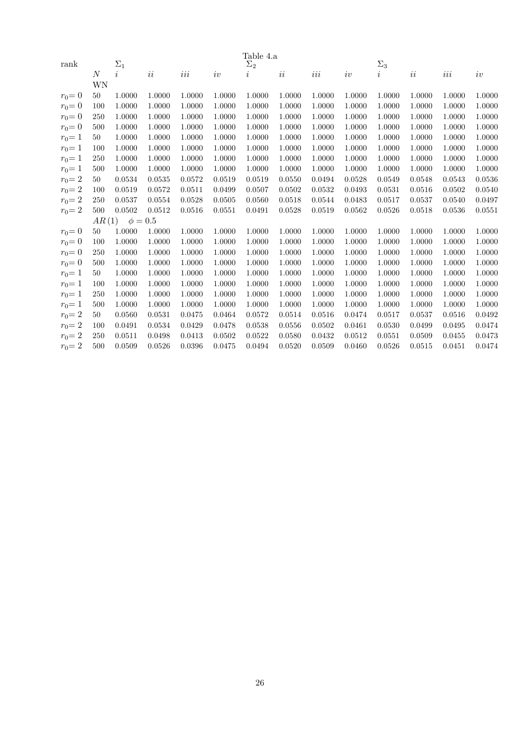|           | Table 4.a |                |          |         |        |            |        |         |        |                     |        |         |        |
|-----------|-----------|----------------|----------|---------|--------|------------|--------|---------|--------|---------------------|--------|---------|--------|
| rank      |           | $\Sigma_1$     |          |         |        | $\Sigma_2$ |        |         |        | $\Sigma_3$          |        |         |        |
|           | N         | $\dot{\imath}$ | $\it ii$ | $iii\,$ | iv     | $\imath$   | ii     | $iii\,$ | iv     | $\overline{\imath}$ | ii     | $iii\,$ | iv     |
|           | WΝ        |                |          |         |        |            |        |         |        |                     |        |         |        |
| $r_0 = 0$ | 50        | 1.0000         | 1.0000   | 1.0000  | 1.0000 | 1.0000     | 1.0000 | 1.0000  | 1.0000 | 1.0000              | 1.0000 | 1.0000  | 1.0000 |
| $r_0 = 0$ | 100       | 1.0000         | 1.0000   | 1.0000  | 1.0000 | 1.0000     | 1.0000 | 1.0000  | 1.0000 | 1.0000              | 1.0000 | 1.0000  | 1.0000 |
| $r_0 = 0$ | 250       | 1.0000         | 1.0000   | 1.0000  | 1.0000 | 1.0000     | 1.0000 | 1.0000  | 1.0000 | 1.0000              | 1.0000 | 1.0000  | 1.0000 |
| $r_0 = 0$ | 500       | 1.0000         | 1.0000   | 1.0000  | 1.0000 | 1.0000     | 1.0000 | 1.0000  | 1.0000 | 1.0000              | 1.0000 | 1.0000  | 1.0000 |
| $r_0 = 1$ | 50        | 1.0000         | 1.0000   | 1.0000  | 1.0000 | 1.0000     | 1.0000 | 1.0000  | 1.0000 | 1.0000              | 1.0000 | 1.0000  | 1.0000 |
| $r_0 = 1$ | 100       | 1.0000         | 1.0000   | 1.0000  | 1.0000 | 1.0000     | 1.0000 | 1.0000  | 1.0000 | 1.0000              | 1.0000 | 1.0000  | 1.0000 |
| $r_0 = 1$ | 250       | 1.0000         | 1.0000   | 1.0000  | 1.0000 | 1.0000     | 1.0000 | 1.0000  | 1.0000 | 1.0000              | 1.0000 | 1.0000  | 1.0000 |
| $r_0 = 1$ | 500       | 1.0000         | 1.0000   | 1.0000  | 1.0000 | 1.0000     | 1.0000 | 1.0000  | 1.0000 | 1.0000              | 1.0000 | 1.0000  | 1.0000 |
| $r_0 = 2$ | 50        | 0.0534         | 0.0535   | 0.0572  | 0.0519 | 0.0519     | 0.0550 | 0.0494  | 0.0528 | 0.0549              | 0.0548 | 0.0543  | 0.0536 |
| $r_0 = 2$ | 100       | 0.0519         | 0.0572   | 0.0511  | 0.0499 | 0.0507     | 0.0502 | 0.0532  | 0.0493 | 0.0531              | 0.0516 | 0.0502  | 0.0540 |
| $r_0 = 2$ | 250       | 0.0537         | 0.0554   | 0.0528  | 0.0505 | 0.0560     | 0.0518 | 0.0544  | 0.0483 | 0.0517              | 0.0537 | 0.0540  | 0.0497 |
| $r_0 = 2$ | 500       | 0.0502         | 0.0512   | 0.0516  | 0.0551 | 0.0491     | 0.0528 | 0.0519  | 0.0562 | 0.0526              | 0.0518 | 0.0536  | 0.0551 |
|           | AR(1)     | $\phi = 0.5$   |          |         |        |            |        |         |        |                     |        |         |        |
| $r_0 = 0$ | 50        | 1.0000         | 1.0000   | 1.0000  | 1.0000 | 1.0000     | 1.0000 | 1.0000  | 1.0000 | 1.0000              | 1.0000 | 1.0000  | 1.0000 |
| $r_0 = 0$ | 100       | 1.0000         | 1.0000   | 1.0000  | 1.0000 | 1.0000     | 1.0000 | 1.0000  | 1.0000 | 1.0000              | 1.0000 | 1.0000  | 1.0000 |
| $r_0 = 0$ | 250       | 1.0000         | 1.0000   | 1.0000  | 1.0000 | 1.0000     | 1.0000 | 1.0000  | 1.0000 | 1.0000              | 1.0000 | 1.0000  | 1.0000 |
| $r_0 = 0$ | 500       | 1.0000         | 1.0000   | 1.0000  | 1.0000 | 1.0000     | 1.0000 | 1.0000  | 1.0000 | 1.0000              | 1.0000 | 1.0000  | 1.0000 |
| $r_0 = 1$ | 50        | 1.0000         | 1.0000   | 1.0000  | 1.0000 | 1.0000     | 1.0000 | 1.0000  | 1.0000 | 1.0000              | 1.0000 | 1.0000  | 1.0000 |
| $r_0 = 1$ | 100       | 1.0000         | 1.0000   | 1.0000  | 1.0000 | 1.0000     | 1.0000 | 1.0000  | 1.0000 | 1.0000              | 1.0000 | 1.0000  | 1.0000 |
| $r_0 = 1$ | 250       | 1.0000         | 1.0000   | 1.0000  | 1.0000 | 1.0000     | 1.0000 | 1.0000  | 1.0000 | 1.0000              | 1.0000 | 1.0000  | 1.0000 |
| $r_0 = 1$ | 500       | 1.0000         | 1.0000   | 1.0000  | 1.0000 | 1.0000     | 1.0000 | 1.0000  | 1.0000 | 1.0000              | 1.0000 | 1.0000  | 1.0000 |
| $r_0 = 2$ | 50        | 0.0560         | 0.0531   | 0.0475  | 0.0464 | 0.0572     | 0.0514 | 0.0516  | 0.0474 | 0.0517              | 0.0537 | 0.0516  | 0.0492 |
| $r_0 = 2$ | 100       | 0.0491         | 0.0534   | 0.0429  | 0.0478 | 0.0538     | 0.0556 | 0.0502  | 0.0461 | 0.0530              | 0.0499 | 0.0495  | 0.0474 |
| $r_0 = 2$ | 250       | 0.0511         | 0.0498   | 0.0413  | 0.0502 | 0.0522     | 0.0580 | 0.0432  | 0.0512 | 0.0551              | 0.0509 | 0.0455  | 0.0473 |
| $r_0 = 2$ | 500       | 0.0509         | 0.0526   | 0.0396  | 0.0475 | 0.0494     | 0.0520 | 0.0509  | 0.0460 | 0.0526              | 0.0515 | 0.0451  | 0.0474 |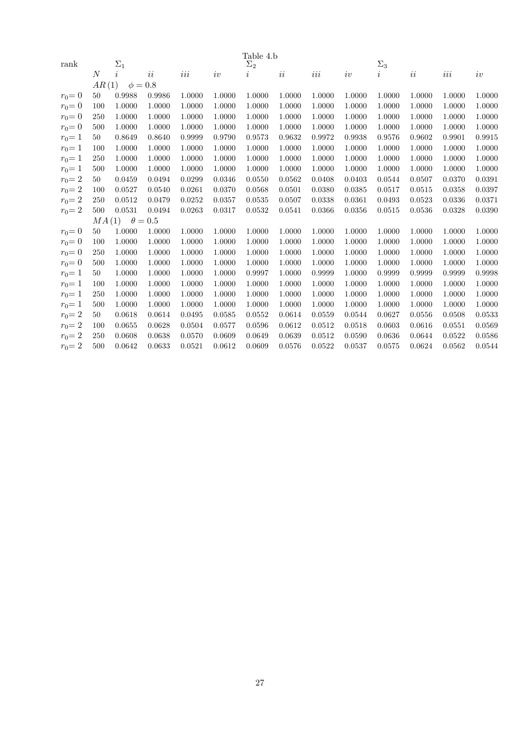|           |                |              |                |         |        | Table 4.b  |        |         |        |            |        |         |        |
|-----------|----------------|--------------|----------------|---------|--------|------------|--------|---------|--------|------------|--------|---------|--------|
| rank      |                | $\Sigma_1$   |                |         |        | $\Sigma_2$ |        |         |        | $\Sigma_3$ |        |         |        |
|           | $\overline{N}$ | $\dot{i}$    | $\it ii$       | $iii\,$ | iv     | $\imath$   | ii     | $iii\,$ | iv     | i          | ii     | $iii\,$ | iv     |
|           | AR(1)          | $\phi = 0.8$ |                |         |        |            |        |         |        |            |        |         |        |
| $r_0 = 0$ | 50             | 0.9988       | 0.9986         | 1.0000  | 1.0000 | 1.0000     | 1.0000 | 1.0000  | 1.0000 | 1.0000     | 1.0000 | 1.0000  | 1.0000 |
| $r_0 = 0$ | 100            | 1.0000       | 1.0000         | 1.0000  | 1.0000 | 1.0000     | 1.0000 | 1.0000  | 1.0000 | 1.0000     | 1.0000 | 1.0000  | 1.0000 |
| $r_0 = 0$ | 250            | 1.0000       | 1.0000         | 1.0000  | 1.0000 | 1.0000     | 1.0000 | 1.0000  | 1.0000 | 1.0000     | 1.0000 | 1.0000  | 1.0000 |
| $r_0 = 0$ | 500            | 1.0000       | 1.0000         | 1.0000  | 1.0000 | 1.0000     | 1.0000 | 1.0000  | 1.0000 | 1.0000     | 1.0000 | 1.0000  | 1.0000 |
| $r_0 = 1$ | 50             | 0.8649       | 0.8640         | 0.9999  | 0.9790 | 0.9573     | 0.9632 | 0.9972  | 0.9938 | 0.9576     | 0.9602 | 0.9901  | 0.9915 |
| $r_0 = 1$ | 100            | 1.0000       | 1.0000         | 1.0000  | 1.0000 | 1.0000     | 1.0000 | 1.0000  | 1.0000 | 1.0000     | 1.0000 | 1.0000  | 1.0000 |
| $r_0 = 1$ | 250            | 1.0000       | 1.0000         | 1.0000  | 1.0000 | 1.0000     | 1.0000 | 1.0000  | 1.0000 | 1.0000     | 1.0000 | 1.0000  | 1.0000 |
| $r_0 = 1$ | 500            | 1.0000       | 1.0000         | 1.0000  | 1.0000 | 1.0000     | 1.0000 | 1.0000  | 1.0000 | 1.0000     | 1.0000 | 1.0000  | 1.0000 |
| $r_0 = 2$ | 50             | 0.0459       | 0.0494         | 0.0299  | 0.0346 | 0.0550     | 0.0562 | 0.0408  | 0.0403 | 0.0544     | 0.0507 | 0.0370  | 0.0391 |
| $r_0 = 2$ | 100            | 0.0527       | 0.0540         | 0.0261  | 0.0370 | 0.0568     | 0.0501 | 0.0380  | 0.0385 | 0.0517     | 0.0515 | 0.0358  | 0.0397 |
| $r_0 = 2$ | 250            | 0.0512       | 0.0479         | 0.0252  | 0.0357 | 0.0535     | 0.0507 | 0.0338  | 0.0361 | 0.0493     | 0.0523 | 0.0336  | 0.0371 |
| $r_0 = 2$ | 500            | 0.0531       | 0.0494         | 0.0263  | 0.0317 | 0.0532     | 0.0541 | 0.0366  | 0.0356 | 0.0515     | 0.0536 | 0.0328  | 0.0390 |
|           | MA(1)          |              | $\theta = 0.5$ |         |        |            |        |         |        |            |        |         |        |
| $r_0 = 0$ | 50             | 1.0000       | 1.0000         | 1.0000  | 1.0000 | 1.0000     | 1.0000 | 1.0000  | 1.0000 | 1.0000     | 1.0000 | 1.0000  | 1.0000 |
| $r_0 = 0$ | 100            | 1.0000       | 1.0000         | 1.0000  | 1.0000 | 1.0000     | 1.0000 | 1.0000  | 1.0000 | 1.0000     | 1.0000 | 1.0000  | 1.0000 |
| $r_0 = 0$ | 250            | 1.0000       | 1.0000         | 1.0000  | 1.0000 | 1.0000     | 1.0000 | 1.0000  | 1.0000 | 1.0000     | 1.0000 | 1.0000  | 1.0000 |
| $r_0 = 0$ | 500            | 1.0000       | 1.0000         | 1.0000  | 1.0000 | 1.0000     | 1.0000 | 1.0000  | 1.0000 | 1.0000     | 1.0000 | 1.0000  | 1.0000 |
| $r_0 = 1$ | 50             | 1.0000       | 1.0000         | 1.0000  | 1.0000 | 0.9997     | 1.0000 | 0.9999  | 1.0000 | 0.9999     | 0.9999 | 0.9999  | 0.9998 |
| $r_0 = 1$ | 100            | 1.0000       | 1.0000         | 1.0000  | 1.0000 | 1.0000     | 1.0000 | 1.0000  | 1.0000 | 1.0000     | 1.0000 | 1.0000  | 1.0000 |
| $r_0 = 1$ | 250            | 1.0000       | 1.0000         | 1.0000  | 1.0000 | 1.0000     | 1.0000 | 1.0000  | 1.0000 | 1.0000     | 1.0000 | 1.0000  | 1.0000 |
| $r_0 = 1$ | 500            | 1.0000       | 1.0000         | 1.0000  | 1.0000 | 1.0000     | 1.0000 | 1.0000  | 1.0000 | 1.0000     | 1.0000 | 1.0000  | 1.0000 |
| $r_0 = 2$ | 50             | 0.0618       | 0.0614         | 0.0495  | 0.0585 | 0.0552     | 0.0614 | 0.0559  | 0.0544 | 0.0627     | 0.0556 | 0.0508  | 0.0533 |
| $r_0 = 2$ | 100            | 0.0655       | 0.0628         | 0.0504  | 0.0577 | 0.0596     | 0.0612 | 0.0512  | 0.0518 | 0.0603     | 0.0616 | 0.0551  | 0.0569 |
| $r_0 = 2$ | 250            | 0.0608       | 0.0638         | 0.0570  | 0.0609 | 0.0649     | 0.0639 | 0.0512  | 0.0590 | 0.0636     | 0.0644 | 0.0522  | 0.0586 |
| $r_0 = 2$ | 500            | 0.0642       | 0.0633         | 0.0521  | 0.0612 | 0.0609     | 0.0576 | 0.0522  | 0.0537 | 0.0575     | 0.0624 | 0.0562  | 0.0544 |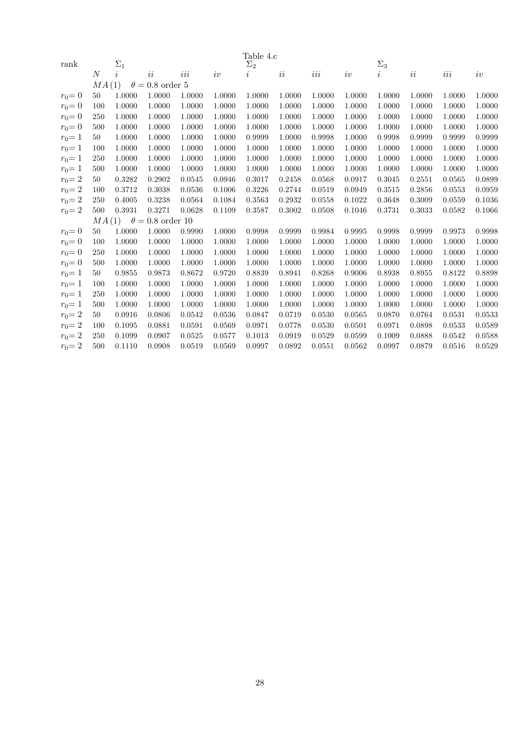|           |                |            |                         |        |        | Table 4.c  |        |        |        |                     |        |        |        |
|-----------|----------------|------------|-------------------------|--------|--------|------------|--------|--------|--------|---------------------|--------|--------|--------|
| rank      |                | $\Sigma_1$ |                         |        |        | $\Sigma_2$ |        |        |        | $\Sigma_3$          |        |        |        |
|           | $\overline{N}$ | $\dot{i}$  | ii                      | iii    | iv     | $\imath$   | ii     | $iii$  | iv     | $\overline{\imath}$ | ii     | $iii$  | iv     |
|           | MA(1)          |            | $\theta = 0.8$ order 5  |        |        |            |        |        |        |                     |        |        |        |
| $r_0 = 0$ | 50             | 1.0000     | 1.0000                  | 1.0000 | 1.0000 | 1.0000     | 1.0000 | 1.0000 | 1.0000 | 1.0000              | 1.0000 | 1.0000 | 1.0000 |
| $r_0 = 0$ | 100            | 1.0000     | 1.0000                  | 1.0000 | 1.0000 | 1.0000     | 1.0000 | 1.0000 | 1.0000 | 1.0000              | 1.0000 | 1.0000 | 1.0000 |
| $r_0 = 0$ | 250            | 1.0000     | 1.0000                  | 1.0000 | 1.0000 | 1.0000     | 1.0000 | 1.0000 | 1.0000 | 1.0000              | 1.0000 | 1.0000 | 1.0000 |
| $r_0 = 0$ | 500            | 1.0000     | 1.0000                  | 1.0000 | 1.0000 | 1.0000     | 1.0000 | 1.0000 | 1.0000 | 1.0000              | 1.0000 | 1.0000 | 1.0000 |
| $r_0 = 1$ | 50             | 1.0000     | 1.0000                  | 1.0000 | 1.0000 | 0.9999     | 1.0000 | 0.9998 | 1.0000 | 0.9998              | 0.9999 | 0.9999 | 0.9999 |
| $r_0 = 1$ | 100            | 1.0000     | 1.0000                  | 1.0000 | 1.0000 | 1.0000     | 1.0000 | 1.0000 | 1.0000 | 1.0000              | 1.0000 | 1.0000 | 1.0000 |
| $r_0 = 1$ | 250            | 1.0000     | 1.0000                  | 1.0000 | 1.0000 | 1.0000     | 1.0000 | 1.0000 | 1.0000 | 1.0000              | 1.0000 | 1.0000 | 1.0000 |
| $r_0 = 1$ | 500            | 1.0000     | 1.0000                  | 1.0000 | 1.0000 | 1.0000     | 1.0000 | 1.0000 | 1.0000 | 1.0000              | 1.0000 | 1.0000 | 1.0000 |
| $r_0 = 2$ | 50             | 0.3282     | 0.2902                  | 0.0545 | 0.0946 | 0.3017     | 0.2458 | 0.0568 | 0.0917 | 0.3045              | 0.2551 | 0.0565 | 0.0899 |
| $r_0 = 2$ | 100            | 0.3712     | 0.3038                  | 0.0536 | 0.1006 | 0.3226     | 0.2744 | 0.0519 | 0.0949 | 0.3515              | 0.2856 | 0.0553 | 0.0959 |
| $r_0 = 2$ | 250            | 0.4005     | 0.3238                  | 0.0564 | 0.1084 | 0.3563     | 0.2932 | 0.0558 | 0.1022 | 0.3648              | 0.3009 | 0.0559 | 0.1036 |
| $r_0 = 2$ | 500            | 0.3931     | 0.3271                  | 0.0628 | 0.1109 | 0.3587     | 0.3002 | 0.0508 | 0.1046 | 0.3731              | 0.3033 | 0.0582 | 0.1066 |
|           | MA(1)          |            | $\theta = 0.8$ order 10 |        |        |            |        |        |        |                     |        |        |        |
| $r_0 = 0$ | 50             | 1.0000     | 1.0000                  | 0.9990 | 1.0000 | 0.9998     | 0.9999 | 0.9984 | 0.9995 | 0.9998              | 0.9999 | 0.9973 | 0.9998 |
| $r_0 = 0$ | 100            | 1.0000     | 1.0000                  | 1.0000 | 1.0000 | 1.0000     | 1.0000 | 1.0000 | 1.0000 | 1.0000              | 1.0000 | 1.0000 | 1.0000 |
| $r_0 = 0$ | 250            | 1.0000     | 1.0000                  | 1.0000 | 1.0000 | 1.0000     | 1.0000 | 1.0000 | 1.0000 | 1.0000              | 1.0000 | 1.0000 | 1.0000 |
| $r_0 = 0$ | 500            | 1.0000     | 1.0000                  | 1.0000 | 1.0000 | 1.0000     | 1.0000 | 1.0000 | 1.0000 | 1.0000              | 1.0000 | 1.0000 | 1.0000 |
| $r_0 = 1$ | 50             | 0.9855     | 0.9873                  | 0.8672 | 0.9720 | 0.8839     | 0.8941 | 0.8268 | 0.9006 | 0.8938              | 0.8955 | 0.8122 | 0.8898 |
| $r_0 = 1$ | 100            | 1.0000     | 1.0000                  | 1.0000 | 1.0000 | 1.0000     | 1.0000 | 1.0000 | 1.0000 | 1.0000              | 1.0000 | 1.0000 | 1.0000 |
| $r_0 = 1$ | 250            | 1.0000     | 1.0000                  | 1.0000 | 1.0000 | 1.0000     | 1.0000 | 1.0000 | 1.0000 | 1.0000              | 1.0000 | 1.0000 | 1.0000 |
| $r_0 = 1$ | 500            | 1.0000     | 1.0000                  | 1.0000 | 1.0000 | 1.0000     | 1.0000 | 1.0000 | 1.0000 | 1.0000              | 1.0000 | 1.0000 | 1.0000 |
| $r_0 = 2$ | 50             | 0.0916     | 0.0806                  | 0.0542 | 0.0536 | 0.0847     | 0.0719 | 0.0530 | 0.0565 | 0.0870              | 0.0764 | 0.0531 | 0.0533 |
| $r_0 = 2$ | 100            | 0.1095     | 0.0881                  | 0.0591 | 0.0569 | 0.0971     | 0.0778 | 0.0530 | 0.0501 | 0.0971              | 0.0898 | 0.0533 | 0.0589 |
| $r_0 = 2$ | 250            | 0.1099     | 0.0907                  | 0.0525 | 0.0577 | 0.1013     | 0.0919 | 0.0529 | 0.0599 | 0.1009              | 0.0888 | 0.0542 | 0.0588 |
| $r_0 = 2$ | 500            | 0.1110     | 0.0908                  | 0.0519 | 0.0569 | 0.0997     | 0.0892 | 0.0551 | 0.0562 | 0.0997              | 0.0879 | 0.0516 | 0.0529 |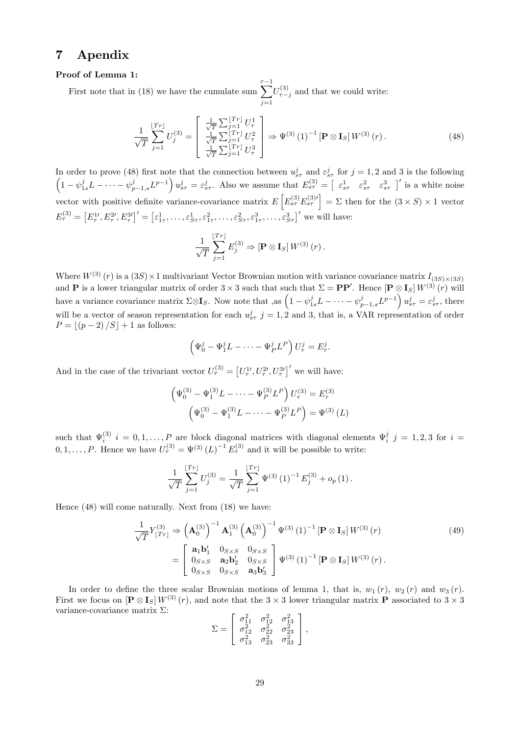## 7 Apendix

## Proof of Lemma 1:

First note that in (18) we have the cumulate sum  $\sum_{n=1}^{\infty}$  $j=1$  $U_{\tau-j}^{(3)}$  and that we could write:

$$
\frac{1}{\sqrt{T}}\sum_{j=1}^{[Tr]}U_j^{(3)} = \begin{bmatrix} \frac{1}{\sqrt{T}}\sum_{j=1}^{[Tr]}U_\tau^1\\ \frac{1}{\sqrt{T}}\sum_{j=1}^{[Tr]}U_\tau^2\\ \frac{1}{\sqrt{T}}\sum_{j=1}^{[Tr]}U_\tau^3 \end{bmatrix} \Rightarrow \Psi^{(3)}(1)^{-1}[\mathbf{P}\otimes \mathbf{I}_S]W^{(3)}(r).
$$
(48)

In order to prove (48) first note that the connection between  $u_{s\tau}^j$  and  $\varepsilon_{s\tau}^j$  for  $j=1,2$  and 3 is the following  $\left(1-\psi_{1s}^j L-\cdots-\psi_{p-1,s}^j L^{p-1}\right)u_{s\tau}^j=\varepsilon_{s\tau}^j$ . Also we assume that  $E_{s\tau}^{(3)}=\begin{bmatrix} \varepsilon_{s\tau}^1 & \varepsilon_{s\tau}^2 & \varepsilon_{s\tau}^3 \end{bmatrix}'$  is a white noise vector with positive definite variance-covariance matrix  $E\left[E_{s\tau}^{(3)}E_{s\tau}^{(3)\prime}\right] = \Sigma$  then for the  $(3 \times S) \times 1$  vector  $E_{\tau}^{(3)} = [E_{\tau}^{1\prime}, E_{\tau}^{2\prime}, E_{\tau}^{3\prime}]' = [\varepsilon_{1\tau}^{1}, \ldots, \varepsilon_{S\tau}^{1}, \varepsilon_{1\tau}^{2}, \ldots, \varepsilon_{S\tau}^{2}, \varepsilon_{1\tau}^{3}, \ldots, \varepsilon_{S\tau}^{3}]'$  we will have:

$$
\frac{1}{\sqrt{T}}\sum_{j=1}^{\lfloor Tr \rfloor} E_j^{(3)} \Rightarrow \left[ \mathbf{P} \otimes \mathbf{I}_S \right] W^{(3)}\left(r\right).
$$

Where  $W^{(3)}(r)$  is a  $(3S) \times 1$  multivariant Vector Brownian motion with variance covariance matrix  $I_{(3S) \times (3S)}$ and **P** is a lower triangular matrix of order  $3 \times 3$  such that such that  $\Sigma = PP'$ . Hence  $\left[\mathbf{P} \otimes \mathbf{I}_S\right] W^{(3)}(r)$  will have a variance covariance matrix  $\Sigma \otimes \mathbf{I}_S$ . Now note that , as  $\left(1 - \psi_{1s}^j L - \cdots - \psi_{p-1,s}^j L^{p-1}\right) u_{s\tau}^j = \varepsilon_{s\tau}^j$ , there will be a vector of season representation for each  $u_{s\tau}^j$  j = 1, 2 and 3, that is, a VAR representation of order  $P = \frac{p-2}{S} + 1$  as follows:

$$
\left(\Psi_0^j - \Psi_1^j L - \dots - \Psi_P^j L^P\right) U_\tau^j = E_\tau^j.
$$

And in the case of the trivariant vector  $U_{\tau}^{(3)} = [U_{\tau}^{1}, U_{\tau}^{2}, U_{\tau}^{3}]'$  we will have:

$$
\left(\Psi_0^{(3)} - \Psi_1^{(3)}L - \dots - \Psi_P^{(3)}L^P\right)U_\tau^{(3)} = E_\tau^{(3)}
$$

$$
\left(\Psi_0^{(3)} - \Psi_1^{(3)}L - \dots - \Psi_P^{(3)}L^P\right) = \Psi^{(3)}(L)
$$

such that  $\Psi_i^{(3)}$   $i = 0, 1, \ldots, P$  are block diagonal matrices with diagonal elements  $\Psi_i^j$   $j = 1, 2, 3$  for  $i =$  $0, 1, \ldots, P$ . Hence we have  $U^{(3)}_{\tau} = \Psi^{(3)} (L)^{-1} E^{(3)}_{\tau}$  and it will be possible to write:

$$
\frac{1}{\sqrt{T}}\sum_{j=1}^{\lfloor Tr \rfloor} U_j^{(3)} = \frac{1}{\sqrt{T}}\sum_{j=1}^{\lfloor Tr \rfloor} \Psi^{(3)}(1)^{-1} E_j^{(3)} + o_p(1).
$$

Hence (48) will come naturally. Next from (18) we have:

$$
\frac{1}{\sqrt{T}} Y_{[Tr]}^{(3)} \Rightarrow \left( \mathbf{A}_0^{(3)} \right)^{-1} \mathbf{A}_1^{(3)} \left( \mathbf{A}_0^{(3)} \right)^{-1} \Psi^{(3)} (1)^{-1} \left[ \mathbf{P} \otimes \mathbf{I}_S \right] W^{(3)} (r) \n= \begin{bmatrix} \mathbf{a}_1 \mathbf{b}_1' & 0_{S \times S} & 0_{S \times S} \\ 0_{S \times S} & \mathbf{a}_2 \mathbf{b}_2' & 0_{S \times S} \\ 0_{S \times S} & 0_{S \times S} & \mathbf{a}_3 \mathbf{b}_3' \end{bmatrix} \Psi^{(3)} (1)^{-1} \left[ \mathbf{P} \otimes \mathbf{I}_S \right] W^{(3)} (r).
$$
\n(49)

In order to define the three scalar Brownian motions of lemma 1, that is,  $w_1 (r)$ ,  $w_2 (r)$  and  $w_3 (r)$ . First we focus on  $[\mathbf{P} \otimes \mathbf{I}_S] W^{(3)}(r)$ , and note that the  $3 \times 3$  lower triangular matrix  $\mathbf{P}$  associated to  $3 \times 3$ variance-covariance matrix  $\Sigma$ :

$$
\Sigma = \begin{bmatrix} \sigma_{11}^2 & \sigma_{12}^2 & \sigma_{13}^2 \\ \sigma_{12}^2 & \sigma_{22}^2 & \sigma_{23}^2 \\ \sigma_{13}^2 & \sigma_{23}^2 & \sigma_{33}^2 \end{bmatrix},
$$